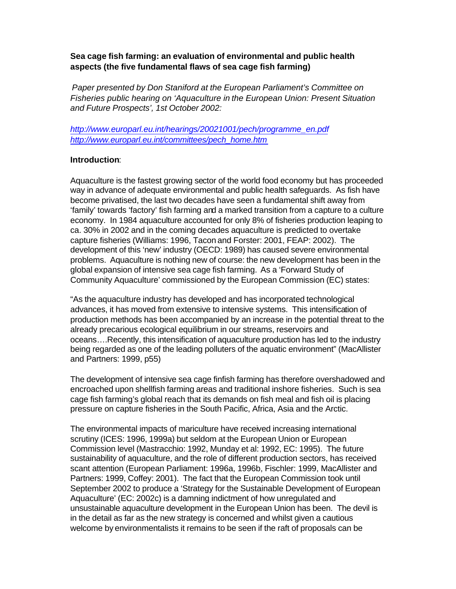# **Sea cage fish farming: an evaluation of environmental and public health aspects (the five fundamental flaws of sea cage fish farming)**

*Paper presented by Don Staniford at the European Parliament's Committee on Fisheries public hearing on 'Aquaculture in the European Union: Present Situation and Future Prospects', 1st October 2002:*

*http://www.europarl.eu.int/hearings/20021001/pech/programme\_en.pdf http://www.europarl.eu.int/committees/pech\_home.htm*

## **Introduction**:

Aquaculture is the fastest growing sector of the world food economy but has proceeded way in advance of adequate environmental and public health safeguards. As fish have become privatised, the last two decades have seen a fundamental shift away from 'family' towards 'factory' fish farming and a marked transition from a capture to a culture economy. In 1984 aquaculture accounted for only 8% of fisheries production leaping to ca. 30% in 2002 and in the coming decades aquaculture is predicted to overtake capture fisheries (Williams: 1996, Tacon and Forster: 2001, FEAP: 2002). The development of this 'new' industry (OECD: 1989) has caused severe environmental problems. Aquaculture is nothing new of course: the new development has been in the global expansion of intensive sea cage fish farming. As a 'Forward Study of Community Aquaculture' commissioned by the European Commission (EC) states:

"As the aquaculture industry has developed and has incorporated technological advances, it has moved from extensive to intensive systems. This intensification of production methods has been accompanied by an increase in the potential threat to the already precarious ecological equilibrium in our streams, reservoirs and oceans….Recently, this intensification of aquaculture production has led to the industry being regarded as one of the leading polluters of the aquatic environment" (MacAllister and Partners: 1999, p55)

The development of intensive sea cage finfish farming has therefore overshadowed and encroached upon shellfish farming areas and traditional inshore fisheries. Such is sea cage fish farming's global reach that its demands on fish meal and fish oil is placing pressure on capture fisheries in the South Pacific, Africa, Asia and the Arctic.

The environmental impacts of mariculture have received increasing international scrutiny (ICES: 1996, 1999a) but seldom at the European Union or European Commission level (Mastracchio: 1992, Munday et al: 1992, EC: 1995). The future sustainability of aquaculture, and the role of different production sectors, has received scant attention (European Parliament: 1996a, 1996b, Fischler: 1999, MacAllister and Partners: 1999, Coffey: 2001). The fact that the European Commission took until September 2002 to produce a 'Strategy for the Sustainable Development of European Aquaculture' (EC: 2002c) is a damning indictment of how unregulated and unsustainable aquaculture development in the European Union has been. The devil is in the detail as far as the new strategy is concerned and whilst given a cautious welcome by environmentalists it remains to be seen if the raft of proposals can be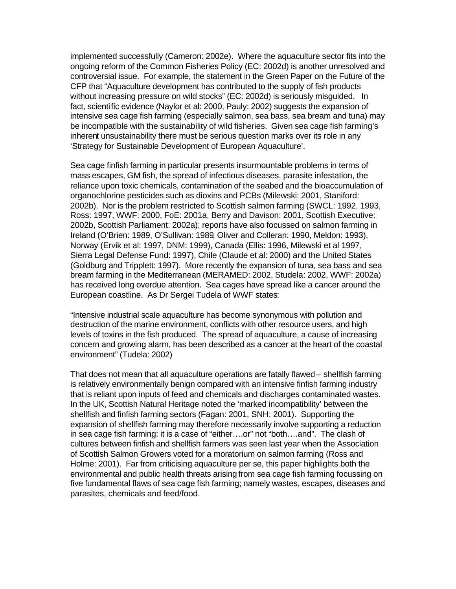implemented successfully (Cameron: 2002e). Where the aquaculture sector fits into the ongoing reform of the Common Fisheries Policy (EC: 2002d) is another unresolved and controversial issue. For example, the statement in the Green Paper on the Future of the CFP that "Aquaculture development has contributed to the supply of fish products without increasing pressure on wild stocks" (EC: 2002d) is seriously misguided. In fact, scientific evidence (Naylor et al: 2000, Pauly: 2002) suggests the expansion of intensive sea cage fish farming (especially salmon, sea bass, sea bream and tuna) may be incompatible with the sustainability of wild fisheries. Given sea cage fish farming's inherent unsustainability there must be serious question marks over its role in any 'Strategy for Sustainable Development of European Aquaculture'.

Sea cage finfish farming in particular presents insurmountable problems in terms of mass escapes, GM fish, the spread of infectious diseases, parasite infestation, the reliance upon toxic chemicals, contamination of the seabed and the bioaccumulation of organochlorine pesticides such as dioxins and PCBs (Milewski: 2001, Staniford: 2002b). Nor is the problem restricted to Scottish salmon farming (SWCL: 1992, 1993, Ross: 1997, WWF: 2000, FoE: 2001a, Berry and Davison: 2001, Scottish Executive: 2002b, Scottish Parliament: 2002a); reports have also focussed on salmon farming in Ireland (O'Brien: 1989, O'Sullivan: 1989, Oliver and Colleran: 1990, Meldon: 1993), Norway (Ervik et al: 1997, DNM: 1999), Canada (Ellis: 1996, Milewski et al 1997, Sierra Legal Defense Fund: 1997), Chile (Claude et al: 2000) and the United States (Goldburg and Tripplett: 1997). More recently the expansion of tuna, sea bass and sea bream farming in the Mediterranean (MERAMED: 2002, Studela: 2002, WWF: 2002a) has received long overdue attention. Sea cages have spread like a cancer around the European coastline. As Dr Sergei Tudela of WWF states:

"Intensive industrial scale aquaculture has become synonymous with pollution and destruction of the marine environment, conflicts with other resource users, and high levels of toxins in the fish produced. The spread of aquaculture, a cause of increasing concern and growing alarm, has been described as a cancer at the heart of the coastal environment" (Tudela: 2002)

That does not mean that all aquaculture operations are fatally flawed – shellfish farming is relatively environmentally benign compared with an intensive finfish farming industry that is reliant upon inputs of feed and chemicals and discharges contaminated wastes. In the UK, Scottish Natural Heritage noted the 'marked incompatibility' between the shellfish and finfish farming sectors (Fagan: 2001, SNH: 2001). Supporting the expansion of shellfish farming may therefore necessarily involve supporting a reduction in sea cage fish farming: it is a case of "either….or" not "both….and". The clash of cultures between finfish and shellfish farmers was seen last year when the Association of Scottish Salmon Growers voted for a moratorium on salmon farming (Ross and Holme: 2001). Far from criticising aquaculture per se, this paper highlights both the environmental and public health threats arising from sea cage fish farming focussing on five fundamental flaws of sea cage fish farming; namely wastes, escapes, diseases and parasites, chemicals and feed/food.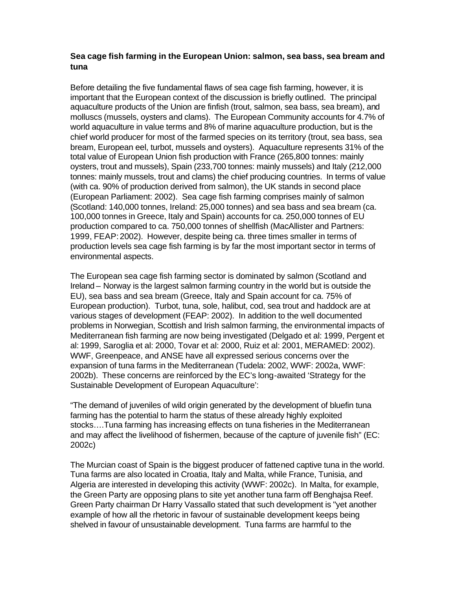# **Sea cage fish farming in the European Union: salmon, sea bass, sea bream and tuna**

Before detailing the five fundamental flaws of sea cage fish farming, however, it is important that the European context of the discussion is briefly outlined. The principal aquaculture products of the Union are finfish (trout, salmon, sea bass, sea bream), and molluscs (mussels, oysters and clams). The European Community accounts for 4.7% of world aquaculture in value terms and 8% of marine aquaculture production, but is the chief world producer for most of the farmed species on its territory (trout, sea bass, sea bream, European eel, turbot, mussels and oysters). Aquaculture represents 31% of the total value of European Union fish production with France (265,800 tonnes: mainly oysters, trout and mussels), Spain (233,700 tonnes: mainly mussels) and Italy (212,000 tonnes: mainly mussels, trout and clams) the chief producing countries. In terms of value (with ca. 90% of production derived from salmon), the UK stands in second place (European Parliament: 2002). Sea cage fish farming comprises mainly of salmon (Scotland: 140,000 tonnes, Ireland: 25,000 tonnes) and sea bass and sea bream (ca. 100,000 tonnes in Greece, Italy and Spain) accounts for ca. 250,000 tonnes of EU production compared to ca. 750,000 tonnes of shellfish (MacAllister and Partners: 1999, FEAP: 2002). However, despite being ca. three times smaller in terms of production levels sea cage fish farming is by far the most important sector in terms of environmental aspects.

The European sea cage fish farming sector is dominated by salmon (Scotland and Ireland – Norway is the largest salmon farming country in the world but is outside the EU), sea bass and sea bream (Greece, Italy and Spain account for ca. 75% of European production). Turbot, tuna, sole, halibut, cod, sea trout and haddock are at various stages of development (FEAP: 2002). In addition to the well documented problems in Norwegian, Scottish and Irish salmon farming, the environmental impacts of Mediterranean fish farming are now being investigated (Delgado et al: 1999, Pergent et al: 1999, Saroglia et al: 2000, Tovar et al: 2000, Ruiz et al: 2001, MERAMED: 2002). WWF, Greenpeace, and ANSE have all expressed serious concerns over the expansion of tuna farms in the Mediterranean (Tudela: 2002, WWF: 2002a, WWF: 2002b). These concerns are reinforced by the EC's long-awaited 'Strategy for the Sustainable Development of European Aquaculture':

"The demand of juveniles of wild origin generated by the development of bluefin tuna farming has the potential to harm the status of these already highly exploited stocks….Tuna farming has increasing effects on tuna fisheries in the Mediterranean and may affect the livelihood of fishermen, because of the capture of juvenile fish" (EC: 2002c)

The Murcian coast of Spain is the biggest producer of fattened captive tuna in the world. Tuna farms are also located in Croatia, Italy and Malta, while France, Tunisia, and Algeria are interested in developing this activity (WWF: 2002c). In Malta, for example, the Green Party are opposing plans to site yet another tuna farm off Benghajsa Reef. Green Party chairman Dr Harry Vassallo stated that such development is "yet another example of how all the rhetoric in favour of sustainable development keeps being shelved in favour of unsustainable development. Tuna farms are harmful to the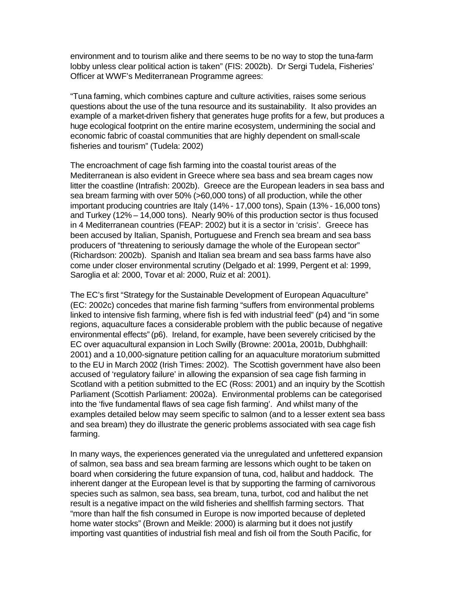environment and to tourism alike and there seems to be no way to stop the tuna-farm lobby unless clear political action is taken" (FIS: 2002b). Dr Sergi Tudela, Fisheries' Officer at WWF's Mediterranean Programme agrees:

"Tuna farming, which combines capture and culture activities, raises some serious questions about the use of the tuna resource and its sustainability. It also provides an example of a market-driven fishery that generates huge profits for a few, but produces a huge ecological footprint on the entire marine ecosystem, undermining the social and economic fabric of coastal communities that are highly dependent on small-scale fisheries and tourism" (Tudela: 2002)

The encroachment of cage fish farming into the coastal tourist areas of the Mediterranean is also evident in Greece where sea bass and sea bream cages now litter the coastline (Intrafish: 2002b). Greece are the European leaders in sea bass and sea bream farming with over 50% (>60,000 tons) of all production, while the other important producing countries are Italy (14% - 17,000 tons), Spain (13% - 16,000 tons) and Turkey (12% – 14,000 tons). Nearly 90% of this production sector is thus focused in 4 Mediterranean countries (FEAP: 2002) but it is a sector in 'crisis'. Greece has been accused by Italian, Spanish, Portuguese and French sea bream and sea bass producers of "threatening to seriously damage the whole of the European sector" (Richardson: 2002b). Spanish and Italian sea bream and sea bass farms have also come under closer environmental scrutiny (Delgado et al: 1999, Pergent et al: 1999, Saroglia et al: 2000, Tovar et al: 2000, Ruiz et al: 2001).

The EC's first "Strategy for the Sustainable Development of European Aquaculture" (EC: 2002c) concedes that marine fish farming "suffers from environmental problems linked to intensive fish farming, where fish is fed with industrial feed" (p4) and "in some regions, aquaculture faces a considerable problem with the public because of negative environmental effects" (p6). Ireland, for example, have been severely criticised by the EC over aquacultural expansion in Loch Swilly (Browne: 2001a, 2001b, Dubhghaill: 2001) and a 10,000-signature petition calling for an aquaculture moratorium submitted to the EU in March 2002 (Irish Times: 2002). The Scottish government have also been accused of 'regulatory failure' in allowing the expansion of sea cage fish farming in Scotland with a petition submitted to the EC (Ross: 2001) and an inquiry by the Scottish Parliament (Scottish Parliament: 2002a). Environmental problems can be categorised into the 'five fundamental flaws of sea cage fish farming'. And whilst many of the examples detailed below may seem specific to salmon (and to a lesser extent sea bass and sea bream) they do illustrate the generic problems associated with sea cage fish farming.

In many ways, the experiences generated via the unregulated and unfettered expansion of salmon, sea bass and sea bream farming are lessons which ought to be taken on board when considering the future expansion of tuna, cod, halibut and haddock. The inherent danger at the European level is that by supporting the farming of carnivorous species such as salmon, sea bass, sea bream, tuna, turbot, cod and halibut the net result is a negative impact on the wild fisheries and shellfish farming sectors. That "more than half the fish consumed in Europe is now imported because of depleted home water stocks" (Brown and Meikle: 2000) is alarming but it does not justify importing vast quantities of industrial fish meal and fish oil from the South Pacific, for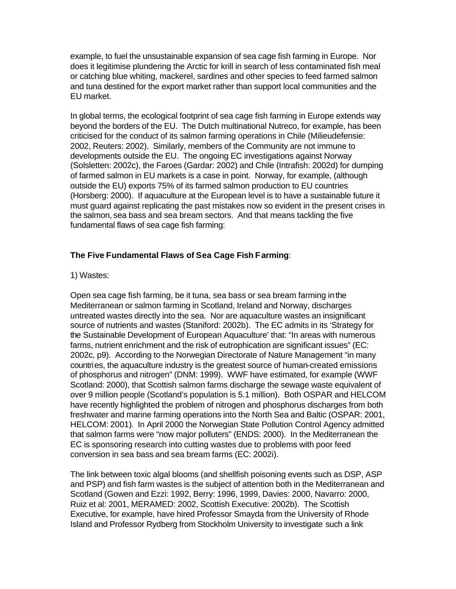example, to fuel the unsustainable expansion of sea cage fish farming in Europe. Nor does it legitimise plundering the Arctic for krill in search of less contaminated fish meal or catching blue whiting, mackerel, sardines and other species to feed farmed salmon and tuna destined for the export market rather than support local communities and the EU market.

In global terms, the ecological footprint of sea cage fish farming in Europe extends way beyond the borders of the EU. The Dutch multinational Nutreco, for example, has been criticised for the conduct of its salmon farming operations in Chile (Milieudefensie: 2002, Reuters: 2002). Similarly, members of the Community are not immune to developments outside the EU. The ongoing EC investigations against Norway (Solsletten: 2002c), the Faroes (Gardar: 2002) and Chile (Intrafish: 2002d) for dumping of farmed salmon in EU markets is a case in point. Norway, for example, (although outside the EU) exports 75% of its farmed salmon production to EU countries (Horsberg: 2000). If aquaculture at the European level is to have a sustainable future it must guard against replicating the past mistakes now so evident in the present crises in the salmon, sea bass and sea bream sectors. And that means tackling the five fundamental flaws of sea cage fish farming:

## **The Five Fundamental Flaws of Sea Cage Fish Farming**:

#### 1) Wastes:

Open sea cage fish farming, be it tuna, sea bass or sea bream farming in the Mediterranean or salmon farming in Scotland, Ireland and Norway, discharges untreated wastes directly into the sea. Nor are aquaculture wastes an insignificant source of nutrients and wastes (Staniford: 2002b). The EC admits in its 'Strategy for the Sustainable Development of European Aquaculture' that: "In areas with numerous farms, nutrient enrichment and the risk of eutrophication are significant issues" (EC: 2002c, p9). According to the Norwegian Directorate of Nature Management "in many countries, the aquaculture industry is the greatest source of human-created emissions of phosphorus and nitrogen" (DNM: 1999). WWF have estimated, for example (WWF Scotland: 2000), that Scottish salmon farms discharge the sewage waste equivalent of over 9 million people (Scotland's population is 5.1 million). Both OSPAR and HELCOM have recently highlighted the problem of nitrogen and phosphorus discharges from both freshwater and marine farming operations into the North Sea and Baltic (OSPAR: 2001, HELCOM: 2001). In April 2000 the Norwegian State Pollution Control Agency admitted that salmon farms were "now major polluters" (ENDS: 2000). In the Mediterranean the EC is sponsoring research into cutting wastes due to problems with poor feed conversion in sea bass and sea bream farms (EC: 2002i).

The link between toxic algal blooms (and shellfish poisoning events such as DSP, ASP and PSP) and fish farm wastes is the subject of attention both in the Mediterranean and Scotland (Gowen and Ezzi: 1992, Berry: 1996, 1999, Davies: 2000, Navarro: 2000, Ruiz et al: 2001, MERAMED: 2002, Scottish Executive: 2002b). The Scottish Executive, for example, have hired Professor Smayda from the University of Rhode Island and Professor Rydberg from Stockholm University to investigate such a link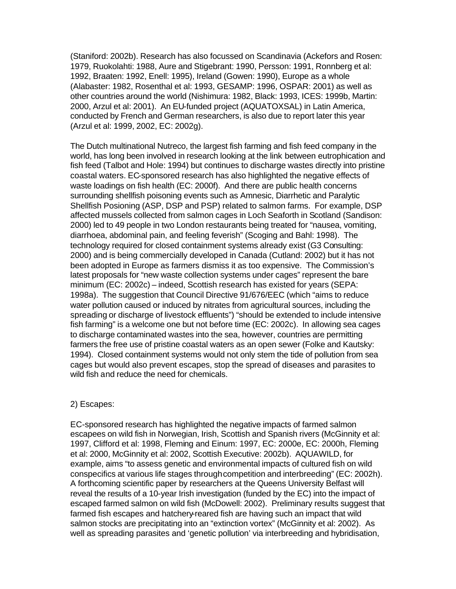(Staniford: 2002b). Research has also focussed on Scandinavia (Ackefors and Rosen: 1979, Ruokolahti: 1988, Aure and Stigebrant: 1990, Persson: 1991, Ronnberg et al: 1992, Braaten: 1992, Enell: 1995), Ireland (Gowen: 1990), Europe as a whole (Alabaster: 1982, Rosenthal et al: 1993, GESAMP: 1996, OSPAR: 2001) as well as other countries around the world (Nishimura: 1982, Black: 1993, ICES: 1999b, Martin: 2000, Arzul et al: 2001). An EU-funded project (AQUATOXSAL) in Latin America, conducted by French and German researchers, is also due to report later this year (Arzul et al: 1999, 2002, EC: 2002g).

The Dutch multinational Nutreco, the largest fish farming and fish feed company in the world, has long been involved in research looking at the link between eutrophication and fish feed (Talbot and Hole: 1994) but continues to discharge wastes directly into pristine coastal waters. EC-sponsored research has also highlighted the negative effects of waste loadings on fish health (EC: 2000f). And there are public health concerns surrounding shellfish poisoning events such as Amnesic, Diarrhetic and Paralytic Shellfish Posioning (ASP, DSP and PSP) related to salmon farms. For example, DSP affected mussels collected from salmon cages in Loch Seaforth in Scotland (Sandison: 2000) led to 49 people in two London restaurants being treated for "nausea, vomiting, diarrhoea, abdominal pain, and feeling feverish" (Scoging and Bahl: 1998). The technology required for closed containment systems already exist (G3 Consulting: 2000) and is being commercially developed in Canada (Cutland: 2002) but it has not been adopted in Europe as farmers dismiss it as too expensive. The Commission's latest proposals for "new waste collection systems under cages" represent the bare minimum (EC: 2002c) – indeed, Scottish research has existed for years (SEPA: 1998a). The suggestion that Council Directive 91/676/EEC (which "aims to reduce water pollution caused or induced by nitrates from agricultural sources, including the spreading or discharge of livestock effluents") "should be extended to include intensive fish farming" is a welcome one but not before time (EC: 2002c). In allowing sea cages to discharge contaminated wastes into the sea, however, countries are permitting farmers the free use of pristine coastal waters as an open sewer (Folke and Kautsky: 1994). Closed containment systems would not only stem the tide of pollution from sea cages but would also prevent escapes, stop the spread of diseases and parasites to wild fish and reduce the need for chemicals.

#### 2) Escapes:

EC-sponsored research has highlighted the negative impacts of farmed salmon escapees on wild fish in Norwegian, Irish, Scottish and Spanish rivers (McGinnity et al: 1997, Clifford et al: 1998, Fleming and Einum: 1997, EC: 2000e, EC: 2000h, Fleming et al: 2000, McGinnity et al: 2002, Scottish Executive: 2002b). AQUAWILD, for example, aims "to assess genetic and environmental impacts of cultured fish on wild conspecifics at various life stages through competition and interbreeding" (EC: 2002h). A forthcoming scientific paper by researchers at the Queens University Belfast will reveal the results of a 10-year Irish investigation (funded by the EC) into the impact of escaped farmed salmon on wild fish (McDowell: 2002). Preliminary results suggest that farmed fish escapes and hatchery-reared fish are having such an impact that wild salmon stocks are precipitating into an "extinction vortex" (McGinnity et al: 2002). As well as spreading parasites and 'genetic pollution' via interbreeding and hybridisation,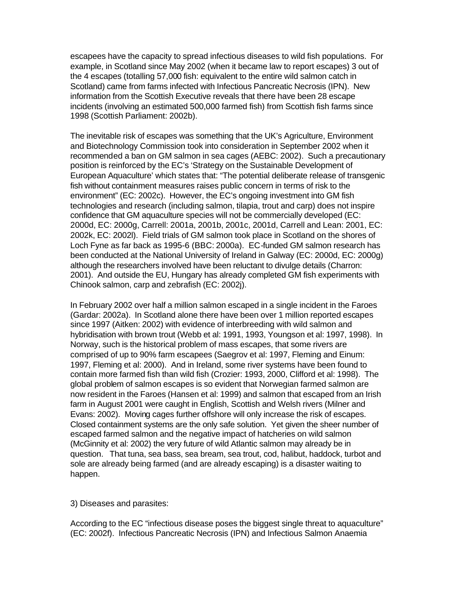escapees have the capacity to spread infectious diseases to wild fish populations. For example, in Scotland since May 2002 (when it became law to report escapes) 3 out of the 4 escapes (totalling 57,000 fish: equivalent to the entire wild salmon catch in Scotland) came from farms infected with Infectious Pancreatic Necrosis (IPN). New information from the Scottish Executive reveals that there have been 28 escape incidents (involving an estimated 500,000 farmed fish) from Scottish fish farms since 1998 (Scottish Parliament: 2002b).

The inevitable risk of escapes was something that the UK's Agriculture, Environment and Biotechnology Commission took into consideration in September 2002 when it recommended a ban on GM salmon in sea cages (AEBC: 2002). Such a precautionary position is reinforced by the EC's 'Strategy on the Sustainable Development of European Aquaculture' which states that: "The potential deliberate release of transgenic fish without containment measures raises public concern in terms of risk to the environment" (EC: 2002c). However, the EC's ongoing investment into GM fish technologies and research (including salmon, tilapia, trout and carp) does not inspire confidence that GM aquaculture species will not be commercially developed (EC: 2000d, EC: 2000g, Carrell: 2001a, 2001b, 2001c, 2001d, Carrell and Lean: 2001, EC: 2002k, EC: 2002l). Field trials of GM salmon took place in Scotland on the shores of Loch Fyne as far back as 1995-6 (BBC: 2000a). EC-funded GM salmon research has been conducted at the National University of Ireland in Galway (EC: 2000d, EC: 2000g) although the researchers involved have been reluctant to divulge details (Charron: 2001). And outside the EU, Hungary has already completed GM fish experiments with Chinook salmon, carp and zebrafish (EC: 2002j).

In February 2002 over half a million salmon escaped in a single incident in the Faroes (Gardar: 2002a). In Scotland alone there have been over 1 million reported escapes since 1997 (Aitken: 2002) with evidence of interbreeding with wild salmon and hybridisation with brown trout (Webb et al: 1991, 1993, Youngson et al: 1997, 1998). In Norway, such is the historical problem of mass escapes, that some rivers are comprised of up to 90% farm escapees (Saegrov et al: 1997, Fleming and Einum: 1997, Fleming et al: 2000). And in Ireland, some river systems have been found to contain more farmed fish than wild fish (Crozier: 1993, 2000, Clifford et al: 1998). The global problem of salmon escapes is so evident that Norwegian farmed salmon are now resident in the Faroes (Hansen et al: 1999) and salmon that escaped from an Irish farm in August 2001 were caught in English, Scottish and Welsh rivers (Milner and Evans: 2002). Moving cages further offshore will only increase the risk of escapes. Closed containment systems are the only safe solution. Yet given the sheer number of escaped farmed salmon and the negative impact of hatcheries on wild salmon (McGinnity et al: 2002) the very future of wild Atlantic salmon may already be in question. That tuna, sea bass, sea bream, sea trout, cod, halibut, haddock, turbot and sole are already being farmed (and are already escaping) is a disaster waiting to happen.

3) Diseases and parasites:

According to the EC "infectious disease poses the biggest single threat to aquaculture" (EC: 2002f). Infectious Pancreatic Necrosis (IPN) and Infectious Salmon Anaemia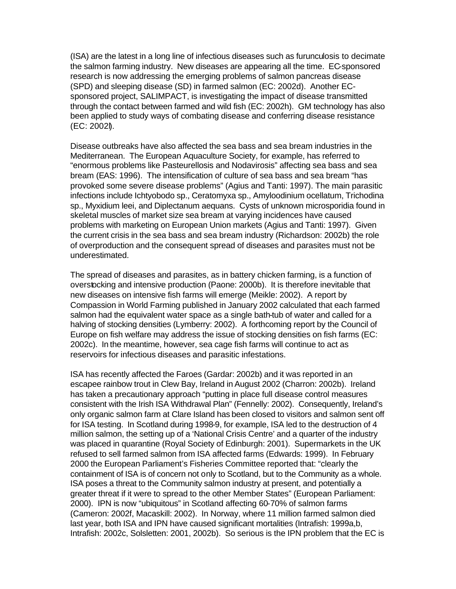(ISA) are the latest in a long line of infectious diseases such as furunculosis to decimate the salmon farming industry. New diseases are appearing all the time. EC-sponsored research is now addressing the emerging problems of salmon pancreas disease (SPD) and sleeping disease (SD) in farmed salmon (EC: 2002d). Another ECsponsored project, SALIMPACT, is investigating the impact of disease transmitted through the contact between farmed and wild fish (EC: 2002h). GM technology has also been applied to study ways of combating disease and conferring disease resistance (EC: 2002l).

Disease outbreaks have also affected the sea bass and sea bream industries in the Mediterranean. The European Aquaculture Society, for example, has referred to "enormous problems like Pasteurellosis and Nodavirosis" affecting sea bass and sea bream (EAS: 1996). The intensification of culture of sea bass and sea bream "has provoked some severe disease problems" (Agius and Tanti: 1997). The main parasitic infections include Ichtyobodo sp., Ceratomyxa sp., Amyloodinium ocellatum, Trichodina sp., Myxidium leei, and Diplectanum aequans. Cysts of unknown microsporidia found in skeletal muscles of market size sea bream at varying incidences have caused problems with marketing on European Union markets (Agius and Tanti: 1997). Given the current crisis in the sea bass and sea bream industry (Richardson: 2002b) the role of overproduction and the consequent spread of diseases and parasites must not be underestimated.

The spread of diseases and parasites, as in battery chicken farming, is a function of overstocking and intensive production (Paone: 2000b). It is therefore inevitable that new diseases on intensive fish farms will emerge (Meikle: 2002). A report by Compassion in World Farming published in January 2002 calculated that each farmed salmon had the equivalent water space as a single bath-tub of water and called for a halving of stocking densities (Lymberry: 2002). A forthcoming report by the Council of Europe on fish welfare may address the issue of stocking densities on fish farms (EC: 2002c). In the meantime, however, sea cage fish farms will continue to act as reservoirs for infectious diseases and parasitic infestations.

ISA has recently affected the Faroes (Gardar: 2002b) and it was reported in an escapee rainbow trout in Clew Bay, Ireland in August 2002 (Charron: 2002b). Ireland has taken a precautionary approach "putting in place full disease control measures consistent with the Irish ISA Withdrawal Plan" (Fennelly: 2002). Consequently, Ireland's only organic salmon farm at Clare Island has been closed to visitors and salmon sent off for ISA testing. In Scotland during 1998-9, for example, ISA led to the destruction of 4 million salmon, the setting up of a 'National Crisis Centre' and a quarter of the industry was placed in quarantine (Royal Society of Edinburgh: 2001). Supermarkets in the UK refused to sell farmed salmon from ISA affected farms (Edwards: 1999). In February 2000 the European Parliament's Fisheries Committee reported that: "clearly the containment of ISA is of concern not only to Scotland, but to the Community as a whole. ISA poses a threat to the Community salmon industry at present, and potentially a greater threat if it were to spread to the other Member States" (European Parliament: 2000). IPN is now "ubiquitous" in Scotland affecting 60-70% of salmon farms (Cameron: 2002f, Macaskill: 2002). In Norway, where 11 million farmed salmon died last year, both ISA and IPN have caused significant mortalities (Intrafish: 1999a,b, Intrafish: 2002c, Solsletten: 2001, 2002b). So serious is the IPN problem that the EC is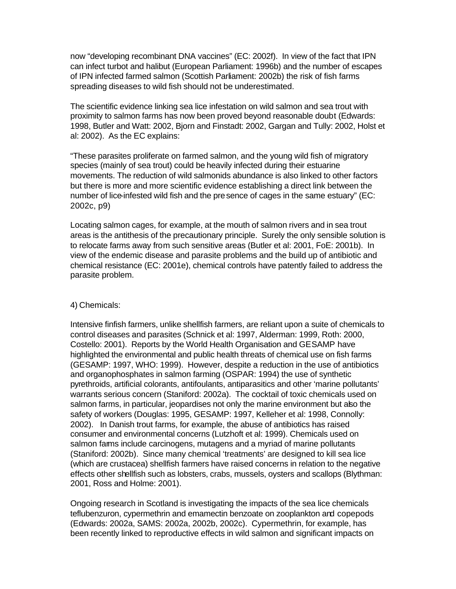now "developing recombinant DNA vaccines" (EC: 2002f). In view of the fact that IPN can infect turbot and halibut (European Parliament: 1996b) and the number of escapes of IPN infected farmed salmon (Scottish Parliament: 2002b) the risk of fish farms spreading diseases to wild fish should not be underestimated.

The scientific evidence linking sea lice infestation on wild salmon and sea trout with proximity to salmon farms has now been proved beyond reasonable doubt (Edwards: 1998, Butler and Watt: 2002, Bjorn and Finstadt: 2002, Gargan and Tully: 2002, Holst et al: 2002). As the EC explains:

"These parasites proliferate on farmed salmon, and the young wild fish of migratory species (mainly of sea trout) could be heavily infected during their estuarine movements. The reduction of wild salmonids abundance is also linked to other factors but there is more and more scientific evidence establishing a direct link between the number of lice-infested wild fish and the presence of cages in the same estuary" (EC: 2002c, p9)

Locating salmon cages, for example, at the mouth of salmon rivers and in sea trout areas is the antithesis of the precautionary principle. Surely the only sensible solution is to relocate farms away from such sensitive areas (Butler et al: 2001, FoE: 2001b). In view of the endemic disease and parasite problems and the build up of antibiotic and chemical resistance (EC: 2001e), chemical controls have patently failed to address the parasite problem.

#### 4) Chemicals:

Intensive finfish farmers, unlike shellfish farmers, are reliant upon a suite of chemicals to control diseases and parasites (Schnick et al: 1997, Alderman: 1999, Roth: 2000, Costello: 2001). Reports by the World Health Organisation and GESAMP have highlighted the environmental and public health threats of chemical use on fish farms (GESAMP: 1997, WHO: 1999). However, despite a reduction in the use of antibiotics and organophosphates in salmon farming (OSPAR: 1994) the use of synthetic pyrethroids, artificial colorants, antifoulants, antiparasitics and other 'marine pollutants' warrants serious concern (Staniford: 2002a). The cocktail of toxic chemicals used on salmon farms, in particular, jeopardises not only the marine environment but also the safety of workers (Douglas: 1995, GESAMP: 1997, Kelleher et al: 1998, Connolly: 2002). In Danish trout farms, for example, the abuse of antibiotics has raised consumer and environmental concerns (Lutzhoft et al: 1999). Chemicals used on salmon farms include carcinogens, mutagens and a myriad of marine pollutants (Staniford: 2002b). Since many chemical 'treatments' are designed to kill sea lice (which are crustacea) shellfish farmers have raised concerns in relation to the negative effects other shellfish such as lobsters, crabs, mussels, oysters and scallops (Blythman: 2001, Ross and Holme: 2001).

Ongoing research in Scotland is investigating the impacts of the sea lice chemicals teflubenzuron, cypermethrin and emamectin benzoate on zooplankton and copepods (Edwards: 2002a, SAMS: 2002a, 2002b, 2002c). Cypermethrin, for example, has been recently linked to reproductive effects in wild salmon and significant impacts on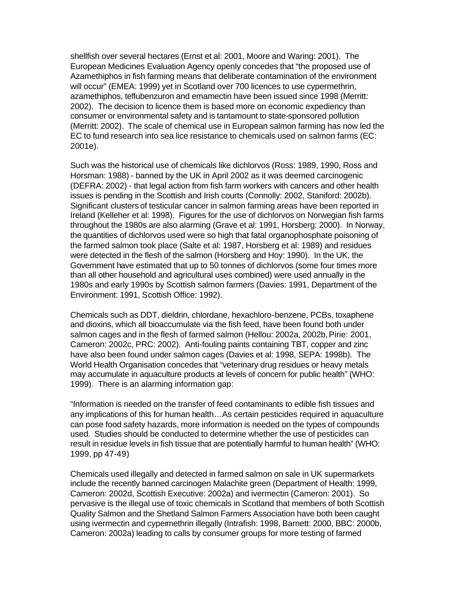shellfish over several hectares (Ernst et al: 2001, Moore and Waring: 2001). The European Medicines Evaluation Agency openly concedes that "the proposed use of Azamethiphos in fish farming means that deliberate contamination of the environment will occur" (EMEA: 1999) yet in Scotland over 700 licences to use cypermethrin, azamethiphos, teflubenzuron and emamectin have been issued since 1998 (Merritt: 2002). The decision to licence them is based more on economic expediency than consumer or environmental safety and is tantamount to state-sponsored pollution (Merritt: 2002). The scale of chemical use in European salmon farming has now led the EC to fund research into sea lice resistance to chemicals used on salmon farms (EC: 2001e).

Such was the historical use of chemicals like dichlorvos (Ross: 1989, 1990, Ross and Horsman: 1988) - banned by the UK in April 2002 as it was deemed carcinogenic (DEFRA: 2002) - that legal action from fish farm workers with cancers and other health issues is pending in the Scottish and Irish courts (Connolly: 2002, Staniford: 2002b). Significant clusters of testicular cancer in salmon farming areas have been reported in Ireland (Kelleher et al: 1998). Figures for the use of dichlorvos on Norwegian fish farms throughout the 1980s are also alarming (Grave et al: 1991, Horsberg: 2000). In Norway, the quantities of dichlorvos used were so high that fatal organophosphate poisoning of the farmed salmon took place (Salte et al: 1987, Horsberg et al: 1989) and residues were detected in the flesh of the salmon (Horsberg and Hoy: 1990). In the UK, the Government have estimated that up to 50 tonnes of dichlorvos (some four times more than all other household and agricultural uses combined) were used annually in the 1980s and early 1990s by Scottish salmon farmers (Davies: 1991, Department of the Environment: 1991, Scottish Office: 1992).

Chemicals such as DDT, dieldrin, chlordane, hexachloro-benzene, PCBs, toxaphene and dioxins, which all bioaccumulate via the fish feed, have been found both under salmon cages and in the flesh of farmed salmon (Hellou: 2002a, 2002b, Pirie: 2001, Cameron: 2002c, PRC: 2002). Anti-fouling paints containing TBT, copper and zinc have also been found under salmon cages (Davies et al: 1998, SEPA: 1998b). The World Health Organisation concedes that "veterinary drug residues or heavy metals may accumulate in aquaculture products at levels of concern for public health" (WHO: 1999). There is an alarming information gap:

"Information is needed on the transfer of feed contaminants to edible fish tissues and any implications of this for human health…As certain pesticides required in aquaculture can pose food safety hazards, more information is needed on the types of compounds used. Studies should be conducted to determine whether the use of pesticides can result in residue levels in fish tissue that are potentially harmful to human health" (WHO: 1999, pp 47-49)

Chemicals used illegally and detected in farmed salmon on sale in UK supermarkets include the recently banned carcinogen Malachite green (Department of Health: 1999, Cameron: 2002d, Scottish Executive: 2002a) and ivermectin (Cameron: 2001). So pervasive is the illegal use of toxic chemicals in Scotland that members of both Scottish Quality Salmon and the Shetland Salmon Farmers Association have both been caught using ivermectin and cypermethrin illegally (Intrafish: 1998, Barnett: 2000, BBC: 2000b, Cameron: 2002a) leading to calls by consumer groups for more testing of farmed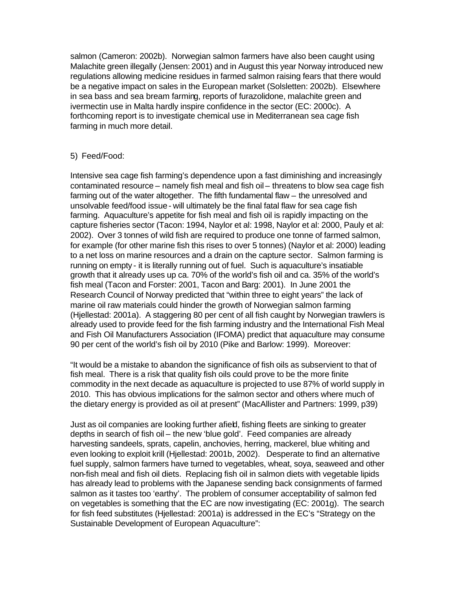salmon (Cameron: 2002b). Norwegian salmon farmers have also been caught using Malachite green illegally (Jensen: 2001) and in August this year Norway introduced new regulations allowing medicine residues in farmed salmon raising fears that there would be a negative impact on sales in the European market (Solsletten: 2002b). Elsewhere in sea bass and sea bream farming, reports of furazolidone, malachite green and ivermectin use in Malta hardly inspire confidence in the sector (EC: 2000c). A forthcoming report is to investigate chemical use in Mediterranean sea cage fish farming in much more detail.

## 5) Feed/Food:

Intensive sea cage fish farming's dependence upon a fast diminishing and increasingly contaminated resource – namely fish meal and fish oil – threatens to blow sea cage fish farming out of the water altogether. The fifth fundamental flaw – the unresolved and unsolvable feed/food issue - will ultimately be the final fatal flaw for sea cage fish farming. Aquaculture's appetite for fish meal and fish oil is rapidly impacting on the capture fisheries sector (Tacon: 1994, Naylor et al: 1998, Naylor et al: 2000, Pauly et al: 2002). Over 3 tonnes of wild fish are required to produce one tonne of farmed salmon, for example (for other marine fish this rises to over 5 tonnes) (Naylor et al: 2000) leading to a net loss on marine resources and a drain on the capture sector. Salmon farming is running on empty - it is literally running out of fuel. Such is aquaculture's insatiable growth that it already uses up ca. 70% of the world's fish oil and ca. 35% of the world's fish meal (Tacon and Forster: 2001, Tacon and Barg: 2001). In June 2001 the Research Council of Norway predicted that "within three to eight years" the lack of marine oil raw materials could hinder the growth of Norwegian salmon farming (Hjellestad: 2001a). A staggering 80 per cent of all fish caught by Norwegian trawlers is already used to provide feed for the fish farming industry and the International Fish Meal and Fish Oil Manufacturers Association (IFOMA) predict that aquaculture may consume 90 per cent of the world's fish oil by 2010 (Pike and Barlow: 1999). Moreover:

"It would be a mistake to abandon the significance of fish oils as subservient to that of fish meal. There is a risk that quality fish oils could prove to be the more finite commodity in the next decade as aquaculture is projected to use 87% of world supply in 2010. This has obvious implications for the salmon sector and others where much of the dietary energy is provided as oil at present" (MacAllister and Partners: 1999, p39)

Just as oil companies are looking further afield, fishing fleets are sinking to greater depths in search of fish oil – the new 'blue gold'. Feed companies are already harvesting sandeels, sprats, capelin, anchovies, herring, mackerel, blue whiting and even looking to exploit krill (Hjellestad: 2001b, 2002). Desperate to find an alternative fuel supply, salmon farmers have turned to vegetables, wheat, soya, seaweed and other non-fish meal and fish oil diets. Replacing fish oil in salmon diets with vegetable lipids has already lead to problems with the Japanese sending back consignments of farmed salmon as it tastes too 'earthy'. The problem of consumer acceptability of salmon fed on vegetables is something that the EC are now investigating (EC: 2001g). The search for fish feed substitutes (Hjellestad: 2001a) is addressed in the EC's "Strategy on the Sustainable Development of European Aquaculture":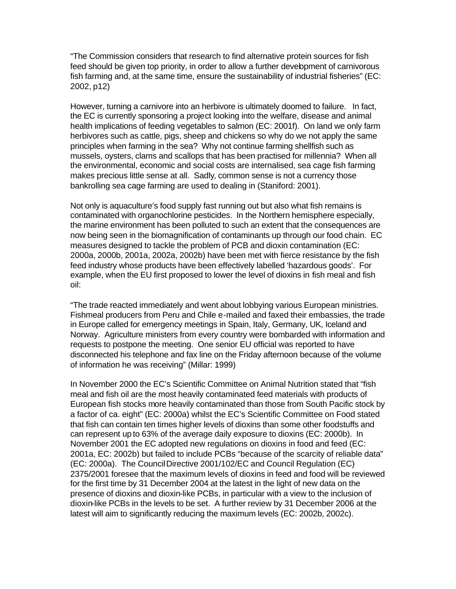"The Commission considers that research to find alternative protein sources for fish feed should be given top priority, in order to allow a further development of carnivorous fish farming and, at the same time, ensure the sustainability of industrial fisheries" (EC: 2002, p12)

However, turning a carnivore into an herbivore is ultimately doomed to failure. In fact, the EC is currently sponsoring a project looking into the welfare, disease and animal health implications of feeding vegetables to salmon (EC: 2001f). On land we only farm herbivores such as cattle, pigs, sheep and chickens so why do we not apply the same principles when farming in the sea? Why not continue farming shellfish such as mussels, oysters, clams and scallops that has been practised for millennia? When all the environmental, economic and social costs are internalised, sea cage fish farming makes precious little sense at all. Sadly, common sense is not a currency those bankrolling sea cage farming are used to dealing in (Staniford: 2001).

Not only is aquaculture's food supply fast running out but also what fish remains is contaminated with organochlorine pesticides. In the Northern hemisphere especially, the marine environment has been polluted to such an extent that the consequences are now being seen in the biomagnification of contaminants up through our food chain. EC measures designed to tackle the problem of PCB and dioxin contamination (EC: 2000a, 2000b, 2001a, 2002a, 2002b) have been met with fierce resistance by the fish feed industry whose products have been effectively labelled 'hazardous goods'. For example, when the EU first proposed to lower the level of dioxins in fish meal and fish oil:

"The trade reacted immediately and went about lobbying various European ministries. Fishmeal producers from Peru and Chile e-mailed and faxed their embassies, the trade in Europe called for emergency meetings in Spain, Italy, Germany, UK, Iceland and Norway. Agriculture ministers from every country were bombarded with information and requests to postpone the meeting. One senior EU official was reported to have disconnected his telephone and fax line on the Friday afternoon because of the volume of information he was receiving" (Millar: 1999)

In November 2000 the EC's Scientific Committee on Animal Nutrition stated that "fish meal and fish oil are the most heavily contaminated feed materials with products of European fish stocks more heavily contaminated than those from South Pacific stock by a factor of ca. eight" (EC: 2000a) whilst the EC's Scientific Committee on Food stated that fish can contain ten times higher levels of dioxins than some other foodstuffs and can represent up to 63% of the average daily exposure to dioxins (EC: 2000b). In November 2001 the EC adopted new regulations on dioxins in food and feed (EC: 2001a, EC: 2002b) but failed to include PCBs "because of the scarcity of reliable data" (EC: 2000a). The Council Directive 2001/102/EC and Council Regulation (EC) 2375/2001 foresee that the maximum levels of dioxins in feed and food will be reviewed for the first time by 31 December 2004 at the latest in the light of new data on the presence of dioxins and dioxin-like PCBs, in particular with a view to the inclusion of dioxin-like PCBs in the levels to be set. A further review by 31 December 2006 at the latest will aim to significantly reducing the maximum levels (EC: 2002b, 2002c).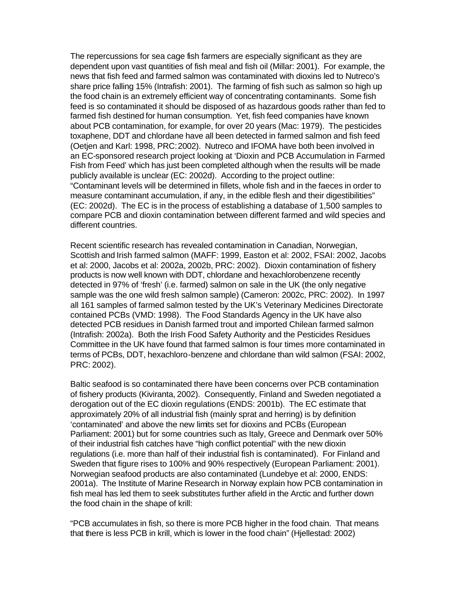The repercussions for sea cage fish farmers are especially significant as they are dependent upon vast quantities of fish meal and fish oil (Millar: 2001). For example, the news that fish feed and farmed salmon was contaminated with dioxins led to Nutreco's share price falling 15% (Intrafish: 2001). The farming of fish such as salmon so high up the food chain is an extremely efficient way of concentrating contaminants. Some fish feed is so contaminated it should be disposed of as hazardous goods rather than fed to farmed fish destined for human consumption. Yet, fish feed companies have known about PCB contamination, for example, for over 20 years (Mac: 1979). The pesticides toxaphene, DDT and chlordane have all been detected in farmed salmon and fish feed (Oetjen and Karl: 1998, PRC: 2002). Nutreco and IFOMA have both been involved in an EC-sponsored research project looking at 'Dioxin and PCB Accumulation in Farmed Fish from Feed' which has just been completed although when the results will be made publicly available is unclear (EC: 2002d). According to the project outline: "Contaminant levels will be determined in fillets, whole fish and in the faeces in order to measure contaminant accumulation, if any, in the edible flesh and their digestibilities" (EC: 2002d). The EC is in the process of establishing a database of 1,500 samples to compare PCB and dioxin contamination between different farmed and wild species and different countries.

Recent scientific research has revealed contamination in Canadian, Norwegian, Scottish and Irish farmed salmon (MAFF: 1999, Easton et al: 2002, FSAI: 2002, Jacobs et al: 2000, Jacobs et al: 2002a, 2002b, PRC: 2002). Dioxin contamination of fishery products is now well known with DDT, chlordane and hexachlorobenzene recently detected in 97% of 'fresh' (i.e. farmed) salmon on sale in the UK (the only negative sample was the one wild fresh salmon sample) (Cameron: 2002c, PRC: 2002). In 1997 all 161 samples of farmed salmon tested by the UK's Veterinary Medicines Directorate contained PCBs (VMD: 1998). The Food Standards Agency in the UK have also detected PCB residues in Danish farmed trout and imported Chilean farmed salmon (Intrafish: 2002a). Both the Irish Food Safety Authority and the Pesticides Residues Committee in the UK have found that farmed salmon is four times more contaminated in terms of PCBs, DDT, hexachloro-benzene and chlordane than wild salmon (FSAI: 2002, PRC: 2002).

Baltic seafood is so contaminated there have been concerns over PCB contamination of fishery products (Kiviranta, 2002). Consequently, Finland and Sweden negotiated a derogation out of the EC dioxin regulations (ENDS: 2001b). The EC estimate that approximately 20% of all industrial fish (mainly sprat and herring) is by definition 'contaminated' and above the new limits set for dioxins and PCBs (European Parliament: 2001) but for some countries such as Italy, Greece and Denmark over 50% of their industrial fish catches have "high conflict potential" with the new dioxin regulations (i.e. more than half of their industrial fish is contaminated). For Finland and Sweden that figure rises to 100% and 90% respectively (European Parliament: 2001). Norwegian seafood products are also contaminated (Lundebye et al: 2000, ENDS: 2001a). The Institute of Marine Research in Norway explain how PCB contamination in fish meal has led them to seek substitutes further afield in the Arctic and further down the food chain in the shape of krill:

"PCB accumulates in fish, so there is more PCB higher in the food chain. That means that there is less PCB in krill, which is lower in the food chain" (Hjellestad: 2002)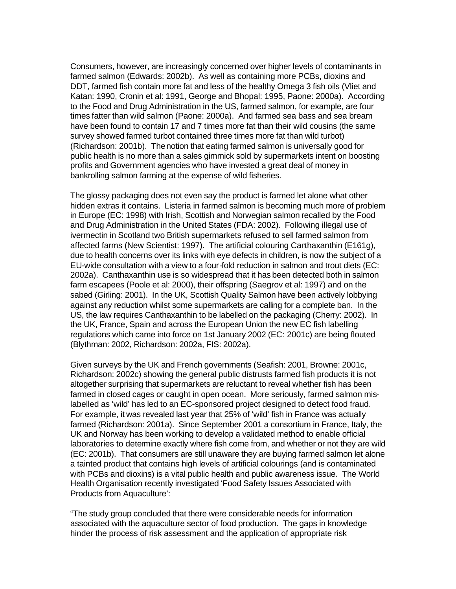Consumers, however, are increasingly concerned over higher levels of contaminants in farmed salmon (Edwards: 2002b). As well as containing more PCBs, dioxins and DDT, farmed fish contain more fat and less of the healthy Omega 3 fish oils (Vliet and Katan: 1990, Cronin et al: 1991, George and Bhopal: 1995, Paone: 2000a). According to the Food and Drug Administration in the US, farmed salmon, for example, are four times fatter than wild salmon (Paone: 2000a). And farmed sea bass and sea bream have been found to contain 17 and 7 times more fat than their wild cousins (the same survey showed farmed turbot contained three times more fat than wild turbot) (Richardson: 2001b). The notion that eating farmed salmon is universally good for public health is no more than a sales gimmick sold by supermarkets intent on boosting profits and Government agencies who have invested a great deal of money in bankrolling salmon farming at the expense of wild fisheries.

The glossy packaging does not even say the product is farmed let alone what other hidden extras it contains. Listeria in farmed salmon is becoming much more of problem in Europe (EC: 1998) with Irish, Scottish and Norwegian salmon recalled by the Food and Drug Administration in the United States (FDA: 2002). Following illegal use of ivermectin in Scotland two British supermarkets refused to sell farmed salmon from affected farms (New Scientist: 1997). The artificial colouring Canthaxanthin (E161g), due to health concerns over its links with eye defects in children, is now the subject of a EU-wide consultation with a view to a four-fold reduction in salmon and trout diets (EC: 2002a). Canthaxanthin use is so widespread that it has been detected both in salmon farm escapees (Poole et al: 2000), their offspring (Saegrov et al: 1997) and on the sabed (Girling: 2001). In the UK, Scottish Quality Salmon have been actively lobbying against any reduction whilst some supermarkets are calling for a complete ban. In the US, the law requires Canthaxanthin to be labelled on the packaging (Cherry: 2002). In the UK, France, Spain and across the European Union the new EC fish labelling regulations which came into force on 1st January 2002 (EC: 2001c) are being flouted (Blythman: 2002, Richardson: 2002a, FIS: 2002a).

Given surveys by the UK and French governments (Seafish: 2001, Browne: 2001c, Richardson: 2002c) showing the general public distrusts farmed fish products it is not altogether surprising that supermarkets are reluctant to reveal whether fish has been farmed in closed cages or caught in open ocean. More seriously, farmed salmon mislabelled as 'wild' has led to an EC-sponsored project designed to detect food fraud. For example, it was revealed last year that 25% of 'wild' fish in France was actually farmed (Richardson: 2001a). Since September 2001 a consortium in France, Italy, the UK and Norway has been working to develop a validated method to enable official laboratories to determine exactly where fish come from, and whether or not they are wild (EC: 2001b). That consumers are still unaware they are buying farmed salmon let alone a tainted product that contains high levels of artificial colourings (and is contaminated with PCBs and dioxins) is a vital public health and public awareness issue. The World Health Organisation recently investigated 'Food Safety Issues Associated with Products from Aquaculture':

"The study group concluded that there were considerable needs for information associated with the aquaculture sector of food production. The gaps in knowledge hinder the process of risk assessment and the application of appropriate risk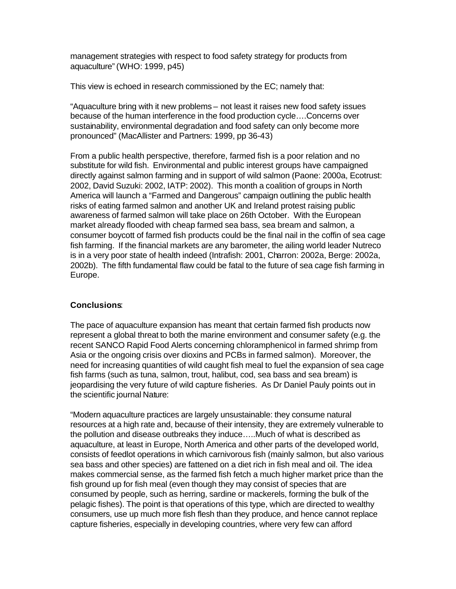management strategies with respect to food safety strategy for products from aquaculture" (WHO: 1999, p45)

This view is echoed in research commissioned by the EC; namely that:

"Aquaculture bring with it new problems – not least it raises new food safety issues because of the human interference in the food production cycle….Concerns over sustainability, environmental degradation and food safety can only become more pronounced" (MacAllister and Partners: 1999, pp 36-43)

From a public health perspective, therefore, farmed fish is a poor relation and no substitute for wild fish. Environmental and public interest groups have campaigned directly against salmon farming and in support of wild salmon (Paone: 2000a, Ecotrust: 2002, David Suzuki: 2002, IATP: 2002). This month a coalition of groups in North America will launch a "Farmed and Dangerous" campaign outlining the public health risks of eating farmed salmon and another UK and Ireland protest raising public awareness of farmed salmon will take place on 26th October. With the European market already flooded with cheap farmed sea bass, sea bream and salmon, a consumer boycott of farmed fish products could be the final nail in the coffin of sea cage fish farming. If the financial markets are any barometer, the ailing world leader Nutreco is in a very poor state of health indeed (Intrafish: 2001, Charron: 2002a, Berge: 2002a, 2002b). The fifth fundamental flaw could be fatal to the future of sea cage fish farming in Europe.

# **Conclusions**:

The pace of aquaculture expansion has meant that certain farmed fish products now represent a global threat to both the marine environment and consumer safety (e.g. the recent SANCO Rapid Food Alerts concerning chloramphenicol in farmed shrimp from Asia or the ongoing crisis over dioxins and PCBs in farmed salmon). Moreover, the need for increasing quantities of wild caught fish meal to fuel the expansion of sea cage fish farms (such as tuna, salmon, trout, halibut, cod, sea bass and sea bream) is jeopardising the very future of wild capture fisheries. As Dr Daniel Pauly points out in the scientific journal Nature:

"Modern aquaculture practices are largely unsustainable: they consume natural resources at a high rate and, because of their intensity, they are extremely vulnerable to the pollution and disease outbreaks they induce…..Much of what is described as aquaculture, at least in Europe, North America and other parts of the developed world, consists of feedlot operations in which carnivorous fish (mainly salmon, but also various sea bass and other species) are fattened on a diet rich in fish meal and oil. The idea makes commercial sense, as the farmed fish fetch a much higher market price than the fish ground up for fish meal (even though they may consist of species that are consumed by people, such as herring, sardine or mackerels, forming the bulk of the pelagic fishes). The point is that operations of this type, which are directed to wealthy consumers, use up much more fish flesh than they produce, and hence cannot replace capture fisheries, especially in developing countries, where very few can afford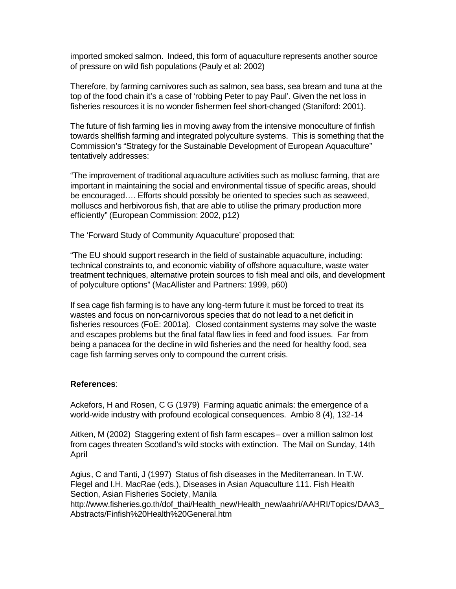imported smoked salmon. Indeed, this form of aquaculture represents another source of pressure on wild fish populations (Pauly et al: 2002)

Therefore, by farming carnivores such as salmon, sea bass, sea bream and tuna at the top of the food chain it's a case of 'robbing Peter to pay Paul'. Given the net loss in fisheries resources it is no wonder fishermen feel short-changed (Staniford: 2001).

The future of fish farming lies in moving away from the intensive monoculture of finfish towards shellfish farming and integrated polyculture systems. This is something that the Commission's "Strategy for the Sustainable Development of European Aquaculture" tentatively addresses:

"The improvement of traditional aquaculture activities such as mollusc farming, that are important in maintaining the social and environmental tissue of specific areas, should be encouraged…. Efforts should possibly be oriented to species such as seaweed, molluscs and herbivorous fish, that are able to utilise the primary production more efficiently" (European Commission: 2002, p12)

The 'Forward Study of Community Aquaculture' proposed that:

"The EU should support research in the field of sustainable aquaculture, including: technical constraints to, and economic viability of offshore aquaculture, waste water treatment techniques, alternative protein sources to fish meal and oils, and development of polyculture options" (MacAllister and Partners: 1999, p60)

If sea cage fish farming is to have any long-term future it must be forced to treat its wastes and focus on non-carnivorous species that do not lead to a net deficit in fisheries resources (FoE: 2001a). Closed containment systems may solve the waste and escapes problems but the final fatal flaw lies in feed and food issues. Far from being a panacea for the decline in wild fisheries and the need for healthy food, sea cage fish farming serves only to compound the current crisis.

#### **References**:

Ackefors, H and Rosen, C G (1979) Farming aquatic animals: the emergence of a world-wide industry with profound ecological consequences. Ambio 8 (4), 132-14

Aitken, M (2002) Staggering extent of fish farm escapes – over a million salmon lost from cages threaten Scotland's wild stocks with extinction. The Mail on Sunday, 14th April

Agius, C and Tanti, J (1997) Status of fish diseases in the Mediterranean. In T.W. Flegel and I.H. MacRae (eds.), Diseases in Asian Aquaculture 111. Fish Health Section, Asian Fisheries Society, Manila http://www.fisheries.go.th/dof\_thai/Health\_new/Health\_new/aahri/AAHRI/Topics/DAA3 Abstracts/Finfish%20Health%20General.htm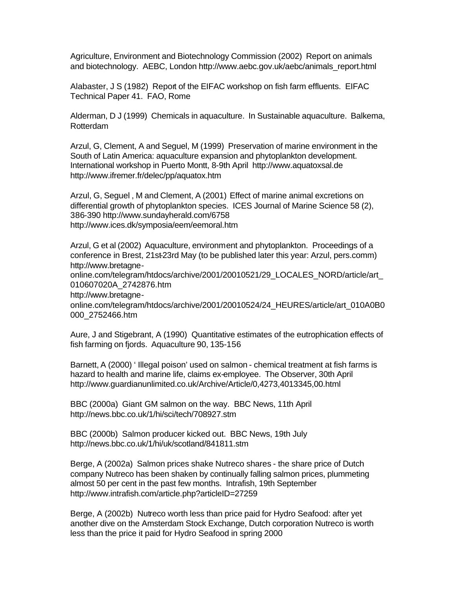Agriculture, Environment and Biotechnology Commission (2002) Report on animals and biotechnology. AEBC, London http://www.aebc.gov.uk/aebc/animals\_report.html

Alabaster, J S (1982) Report of the EIFAC workshop on fish farm effluents. EIFAC Technical Paper 41. FAO, Rome

Alderman, D J (1999) Chemicals in aquaculture. In Sustainable aquaculture. Balkema, Rotterdam

Arzul, G, Clement, A and Seguel, M (1999) Preservation of marine environment in the South of Latin America: aquaculture expansion and phytoplankton development. International workshop in Puerto Montt, 8-9th April http://www.aquatoxsal.de http://www.ifremer.fr/delec/pp/aquatox.htm

Arzul, G, Seguel , M and Clement, A (2001) Effect of marine animal excretions on differential growth of phytoplankton species. ICES Journal of Marine Science 58 (2), 386-390 http://www.sundayherald.com/6758 http://www.ices.dk/symposia/eem/eemoral.htm

Arzul, G et al (2002) Aquaculture, environment and phytoplankton. Proceedings of a conference in Brest, 21st-23rd May (to be published later this year: Arzul, pers.comm) http://www.bretagne-

online.com/telegram/htdocs/archive/2001/20010521/29\_LOCALES\_NORD/article/art\_ 010607020A\_2742876.htm

http://www.bretagne-

online.com/telegram/htdocs/archive/2001/20010524/24\_HEURES/article/art\_010A0B0 000\_2752466.htm

Aure, J and Stigebrant, A (1990) Quantitative estimates of the eutrophication effects of fish farming on fjords. Aquaculture 90, 135-156

Barnett, A (2000) ' Illegal poison' used on salmon - chemical treatment at fish farms is hazard to health and marine life, claims ex-employee. The Observer, 30th April http://www.guardianunlimited.co.uk/Archive/Article/0,4273,4013345,00.html

BBC (2000a) Giant GM salmon on the way. BBC News, 11th April http://news.bbc.co.uk/1/hi/sci/tech/708927.stm

BBC (2000b) Salmon producer kicked out. BBC News, 19th July http://news.bbc.co.uk/1/hi/uk/scotland/841811.stm

Berge, A (2002a) Salmon prices shake Nutreco shares - the share price of Dutch company Nutreco has been shaken by continually falling salmon prices, plummeting almost 50 per cent in the past few months. Intrafish, 19th September http://www.intrafish.com/article.php?articleID=27259

Berge, A (2002b) Nutreco worth less than price paid for Hydro Seafood: after yet another dive on the Amsterdam Stock Exchange, Dutch corporation Nutreco is worth less than the price it paid for Hydro Seafood in spring 2000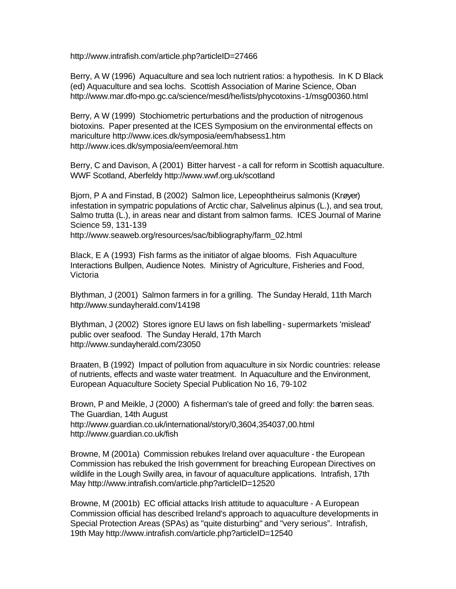http://www.intrafish.com/article.php?articleID=27466

Berry, A W (1996) Aquaculture and sea loch nutrient ratios: a hypothesis. In K D Black (ed) Aquaculture and sea lochs. Scottish Association of Marine Science, Oban http://www.mar.dfo-mpo.gc.ca/science/mesd/he/lists/phycotoxins-1/msg00360.html

Berry, A W (1999) Stochiometric perturbations and the production of nitrogenous biotoxins. Paper presented at the ICES Symposium on the environmental effects on mariculture http://www.ices.dk/symposia/eem/habsess1.htm http://www.ices.dk/symposia/eem/eemoral.htm

Berry, C and Davison, A (2001) Bitter harvest - a call for reform in Scottish aquaculture. WWF Scotland, Aberfeldy http://www.wwf.org.uk/scotland

Bjorn, P A and Finstad, B (2002) Salmon lice, Lepeophtheirus salmonis (Krøyer) infestation in sympatric populations of Arctic char, Salvelinus alpinus (L.), and sea trout, Salmo trutta (L.), in areas near and distant from salmon farms. ICES Journal of Marine Science 59, 131-139

http://www.seaweb.org/resources/sac/bibliography/farm\_02.html

Black, E A (1993) Fish farms as the initiator of algae blooms. Fish Aquaculture Interactions Bullpen, Audience Notes. Ministry of Agriculture, Fisheries and Food, Victoria

Blythman, J (2001) Salmon farmers in for a grilling. The Sunday Herald, 11th March http://www.sundayherald.com/14198

Blythman, J (2002) Stores ignore EU laws on fish labelling - supermarkets 'mislead' public over seafood. The Sunday Herald, 17th March http://www.sundayherald.com/23050

Braaten, B (1992) Impact of pollution from aquaculture in six Nordic countries: release of nutrients, effects and waste water treatment. In Aquaculture and the Environment, European Aquaculture Society Special Publication No 16, 79-102

Brown, P and Meikle, J (2000) A fisherman's tale of greed and folly: the barren seas. The Guardian, 14th August http://www.guardian.co.uk/international/story/0,3604,354037,00.html http://www.guardian.co.uk/fish

Browne, M (2001a) Commission rebukes Ireland over aquaculture - the European Commission has rebuked the Irish government for breaching European Directives on wildlife in the Lough Swilly area, in favour of aquaculture applications. Intrafish, 17th May http://www.intrafish.com/article.php?articleID=12520

Browne, M (2001b) EC official attacks Irish attitude to aquaculture - A European Commission official has described Ireland's approach to aquaculture developments in Special Protection Areas (SPAs) as "quite disturbing" and "very serious". Intrafish, 19th May http://www.intrafish.com/article.php?articleID=12540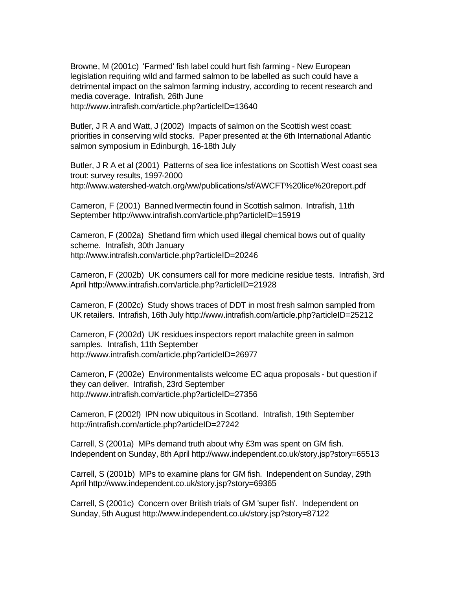Browne, M (2001c) 'Farmed' fish label could hurt fish farming - New European legislation requiring wild and farmed salmon to be labelled as such could have a detrimental impact on the salmon farming industry, according to recent research and media coverage. Intrafish, 26th June http://www.intrafish.com/article.php?articleID=13640

Butler, J R A and Watt, J (2002) Impacts of salmon on the Scottish west coast: priorities in conserving wild stocks. Paper presented at the 6th International Atlantic salmon symposium in Edinburgh, 16-18th July

Butler, J R A et al (2001) Patterns of sea lice infestations on Scottish West coast sea trout: survey results, 1997-2000 http://www.watershed-watch.org/ww/publications/sf/AWCFT%20lice%20report.pdf

Cameron, F (2001) Banned Ivermectin found in Scottish salmon. Intrafish, 11th September http://www.intrafish.com/article.php?articleID=15919

Cameron, F (2002a) Shetland firm which used illegal chemical bows out of quality scheme. Intrafish, 30th January http://www.intrafish.com/article.php?articleID=20246

Cameron, F (2002b) UK consumers call for more medicine residue tests. Intrafish, 3rd April http://www.intrafish.com/article.php?articleID=21928

Cameron, F (2002c) Study shows traces of DDT in most fresh salmon sampled from UK retailers. Intrafish, 16th July http://www.intrafish.com/article.php?articleID=25212

Cameron, F (2002d) UK residues inspectors report malachite green in salmon samples. Intrafish, 11th September http://www.intrafish.com/article.php?articleID=26977

Cameron, F (2002e) Environmentalists welcome EC aqua proposals - but question if they can deliver. Intrafish, 23rd September http://www.intrafish.com/article.php?articleID=27356

Cameron, F (2002f) IPN now ubiquitous in Scotland. Intrafish, 19th September http://intrafish.com/article.php?articleID=27242

Carrell, S (2001a) MPs demand truth about why £3m was spent on GM fish. Independent on Sunday, 8th April http://www.independent.co.uk/story.jsp?story=65513

Carrell, S (2001b) MPs to examine plans for GM fish. Independent on Sunday, 29th April http://www.independent.co.uk/story.jsp?story=69365

Carrell, S (2001c) Concern over British trials of GM 'super fish'. Independent on Sunday, 5th August http://www.independent.co.uk/story.jsp?story=87122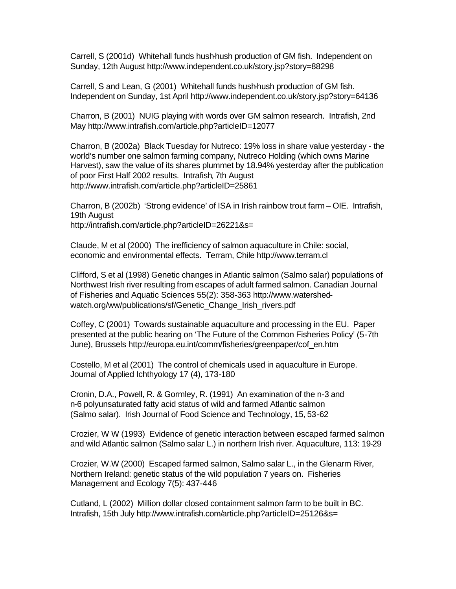Carrell, S (2001d) Whitehall funds hush-hush production of GM fish. Independent on Sunday, 12th August http://www.independent.co.uk/story.jsp?story=88298

Carrell, S and Lean, G (2001) Whitehall funds hush-hush production of GM fish. Independent on Sunday, 1st April http://www.independent.co.uk/story.jsp?story=64136

Charron, B (2001) NUIG playing with words over GM salmon research. Intrafish, 2nd May http://www.intrafish.com/article.php?articleID=12077

Charron, B (2002a) Black Tuesday for Nutreco: 19% loss in share value yesterday - the world's number one salmon farming company, Nutreco Holding (which owns Marine Harvest), saw the value of its shares plummet by 18.94% yesterday after the publication of poor First Half 2002 results. Intrafish, 7th August http://www.intrafish.com/article.php?articleID=25861

Charron, B (2002b) 'Strong evidence' of ISA in Irish rainbow trout farm – OIE. Intrafish, 19th August http://intrafish.com/article.php?articleID=26221&s=

Claude, M et al (2000) The inefficiency of salmon aquaculture in Chile: social, economic and environmental effects. Terram, Chile http://www.terram.cl

Clifford, S et al (1998) Genetic changes in Atlantic salmon (Salmo salar) populations of Northwest Irish river resulting from escapes of adult farmed salmon. Canadian Journal of Fisheries and Aquatic Sciences 55(2): 358-363 http://www.watershedwatch.org/ww/publications/sf/Genetic\_Change\_Irish\_rivers.pdf

Coffey, C (2001) Towards sustainable aquaculture and processing in the EU. Paper presented at the public hearing on 'The Future of the Common Fisheries Policy' (5-7th June), Brussels http://europa.eu.int/comm/fisheries/greenpaper/cof\_en.htm

Costello, M et al (2001) The control of chemicals used in aquaculture in Europe. Journal of Applied Ichthyology 17 (4), 173-180

Cronin, D.A., Powell, R. & Gormley, R. (1991) An examination of the n-3 and n-6 polyunsaturated fatty acid status of wild and farmed Atlantic salmon (Salmo salar). Irish Journal of Food Science and Technology, 15, 53-62

Crozier, W W (1993) Evidence of genetic interaction between escaped farmed salmon and wild Atlantic salmon (Salmo salar L.) in northern Irish river. Aquaculture, 113: 19-29

Crozier, W.W (2000) Escaped farmed salmon, Salmo salar L., in the Glenarm River, Northern Ireland: genetic status of the wild population 7 years on. Fisheries Management and Ecology 7(5): 437-446

Cutland, L (2002) Million dollar closed containment salmon farm to be built in BC. Intrafish, 15th July http://www.intrafish.com/article.php?articleID=25126&s=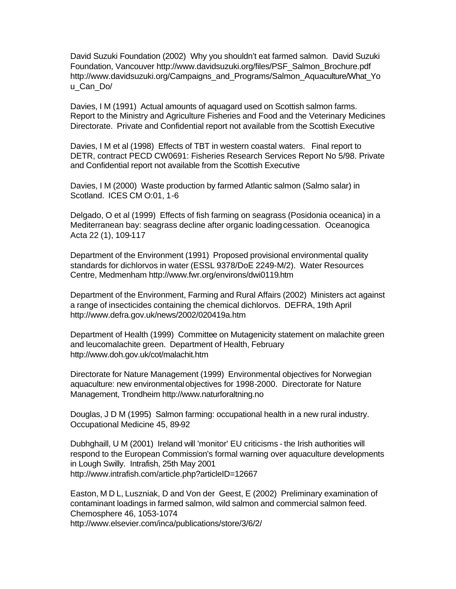David Suzuki Foundation (2002) Why you shouldn't eat farmed salmon. David Suzuki Foundation, Vancouver http://www.davidsuzuki.org/files/PSF\_Salmon\_Brochure.pdf http://www.davidsuzuki.org/Campaigns\_and\_Programs/Salmon\_Aquaculture/What\_Yo u\_Can\_Do/

Davies, I M (1991) Actual amounts of aquagard used on Scottish salmon farms. Report to the Ministry and Agriculture Fisheries and Food and the Veterinary Medicines Directorate. Private and Confidential report not available from the Scottish Executive

Davies, I M et al (1998) Effects of TBT in western coastal waters. Final report to DETR, contract PECD CW0691: Fisheries Research Services Report No 5/98. Private and Confidential report not available from the Scottish Executive

Davies, I M (2000) Waste production by farmed Atlantic salmon (Salmo salar) in Scotland. ICES CM O:01, 1-6

Delgado, O et al (1999) Effects of fish farming on seagrass (Posidonia oceanica) in a Mediterranean bay: seagrass decline after organic loading cessation. Oceanogica Acta 22 (1), 109-117

Department of the Environment (1991) Proposed provisional environmental quality standards for dichlorvos in water (ESSL 9378/DoE 2249-M/2). Water Resources Centre, Medmenham http://www.fwr.org/environs/dwi0119.htm

Department of the Environment, Farming and Rural Affairs (2002) Ministers act against a range of insecticides containing the chemical dichlorvos. DEFRA, 19th April http://www.defra.gov.uk/news/2002/020419a.htm

Department of Health (1999) Committee on Mutagenicity statement on malachite green and leucomalachite green. Department of Health, February http://www.doh.gov.uk/cot/malachit.htm

Directorate for Nature Management (1999) Environmental objectives for Norwegian aquaculture: new environmental objectives for 1998-2000. Directorate for Nature Management, Trondheim http://www.naturforaltning.no

Douglas, J D M (1995) Salmon farming: occupational health in a new rural industry. Occupational Medicine 45, 89-92

Dubhghaill, U M (2001) Ireland will 'monitor' EU criticisms - the Irish authorities will respond to the European Commission's formal warning over aquaculture developments in Lough Swilly. Intrafish, 25th May 2001 http://www.intrafish.com/article.php?articleID=12667

Easton, M D L, Luszniak, D and Von der Geest, E (2002) Preliminary examination of contaminant loadings in farmed salmon, wild salmon and commercial salmon feed. Chemosphere 46, 1053-1074 http://www.elsevier.com/inca/publications/store/3/6/2/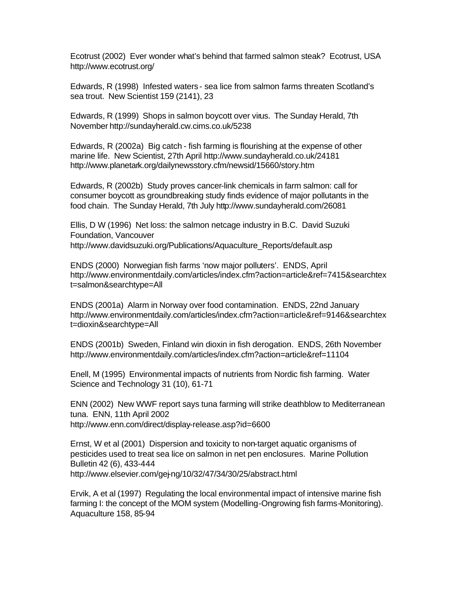Ecotrust (2002) Ever wonder what's behind that farmed salmon steak? Ecotrust, USA http://www.ecotrust.org/

Edwards, R (1998) Infested waters - sea lice from salmon farms threaten Scotland's sea trout. New Scientist 159 (2141), 23

Edwards, R (1999) Shops in salmon boycott over virus. The Sunday Herald, 7th November http://sundayherald.cw.cims.co.uk/5238

Edwards, R (2002a) Big catch - fish farming is flourishing at the expense of other marine life. New Scientist, 27th April http://www.sundayherald.co.uk/24181 http://www.planetark.org/dailynewsstory.cfm/newsid/15660/story.htm

Edwards, R (2002b) Study proves cancer-link chemicals in farm salmon: call for consumer boycott as groundbreaking study finds evidence of major pollutants in the food chain. The Sunday Herald, 7th July http://www.sundayherald.com/26081

Ellis, D W (1996) Net loss: the salmon netcage industry in B.C. David Suzuki Foundation, Vancouver http://www.davidsuzuki.org/Publications/Aquaculture\_Reports/default.asp

ENDS (2000) Norwegian fish farms 'now major polluters'. ENDS, April http://www.environmentdaily.com/articles/index.cfm?action=article&ref=7415&searchtex t=salmon&searchtype=All

ENDS (2001a) Alarm in Norway over food contamination. ENDS, 22nd January http://www.environmentdaily.com/articles/index.cfm?action=article&ref=9146&searchtex t=dioxin&searchtype=All

ENDS (2001b) Sweden, Finland win dioxin in fish derogation. ENDS, 26th November http://www.environmentdaily.com/articles/index.cfm?action=article&ref=11104

Enell, M (1995) Environmental impacts of nutrients from Nordic fish farming. Water Science and Technology 31 (10), 61-71

ENN (2002) New WWF report says tuna farming will strike deathblow to Mediterranean tuna. ENN, 11th April 2002 http://www.enn.com/direct/display-release.asp?id=6600

Ernst, W et al (2001) Dispersion and toxicity to non-target aquatic organisms of pesticides used to treat sea lice on salmon in net pen enclosures. Marine Pollution Bulletin 42 (6), 433-444 http://www.elsevier.com/gej-ng/10/32/47/34/30/25/abstract.html

Ervik, A et al (1997) Regulating the local environmental impact of intensive marine fish farming I: the concept of the MOM system (Modelling-Ongrowing fish farms-Monitoring). Aquaculture 158, 85-94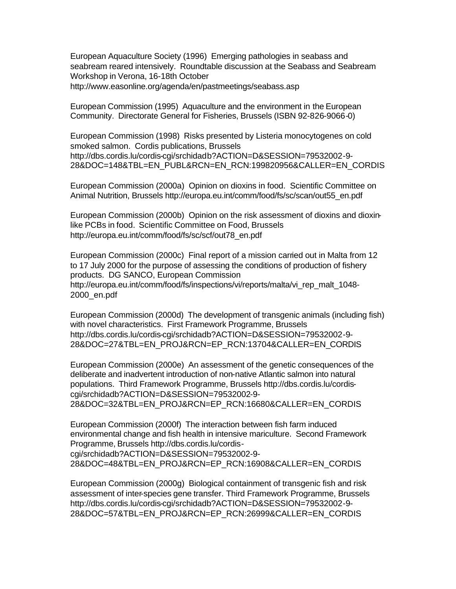European Aquaculture Society (1996) Emerging pathologies in seabass and seabream reared intensively. Roundtable discussion at the Seabass and Seabream Workshop in Verona, 16-18th October http://www.easonline.org/agenda/en/pastmeetings/seabass.asp

European Commission (1995) Aquaculture and the environment in the European Community. Directorate General for Fisheries, Brussels (ISBN 92-826-9066-0)

European Commission (1998) Risks presented by Listeria monocytogenes on cold smoked salmon. Cordis publications, Brussels http://dbs.cordis.lu/cordis-cgi/srchidadb?ACTION=D&SESSION=79532002-9- 28&DOC=148&TBL=EN\_PUBL&RCN=EN\_RCN:199820956&CALLER=EN\_CORDIS

European Commission (2000a) Opinion on dioxins in food. Scientific Committee on Animal Nutrition, Brussels http://europa.eu.int/comm/food/fs/sc/scan/out55\_en.pdf

European Commission (2000b) Opinion on the risk assessment of dioxins and dioxinlike PCBs in food. Scientific Committee on Food, Brussels http://europa.eu.int/comm/food/fs/sc/scf/out78\_en.pdf

European Commission (2000c) Final report of a mission carried out in Malta from 12 to 17 July 2000 for the purpose of assessing the conditions of production of fishery products. DG SANCO, European Commission http://europa.eu.int/comm/food/fs/inspections/vi/reports/malta/vi\_rep\_malt\_1048- 2000\_en.pdf

European Commission (2000d) The development of transgenic animals (including fish) with novel characteristics. First Framework Programme, Brussels http://dbs.cordis.lu/cordis-cgi/srchidadb?ACTION=D&SESSION=79532002-9- 28&DOC=27&TBL=EN\_PROJ&RCN=EP\_RCN:13704&CALLER=EN\_CORDIS

European Commission (2000e) An assessment of the genetic consequences of the deliberate and inadvertent introduction of non-native Atlantic salmon into natural populations. Third Framework Programme, Brussels http://dbs.cordis.lu/cordiscgi/srchidadb?ACTION=D&SESSION=79532002-9- 28&DOC=32&TBL=EN\_PROJ&RCN=EP\_RCN:16680&CALLER=EN\_CORDIS

European Commission (2000f) The interaction between fish farm induced environmental change and fish health in intensive mariculture. Second Framework Programme, Brussels http://dbs.cordis.lu/cordis-

cgi/srchidadb?ACTION=D&SESSION=79532002-9- 28&DOC=48&TBL=EN\_PROJ&RCN=EP\_RCN:16908&CALLER=EN\_CORDIS

European Commission (2000g) Biological containment of transgenic fish and risk assessment of inter-species gene transfer. Third Framework Programme, Brussels http://dbs.cordis.lu/cordis-cgi/srchidadb?ACTION=D&SESSION=79532002-9- 28&DOC=57&TBL=EN\_PROJ&RCN=EP\_RCN:26999&CALLER=EN\_CORDIS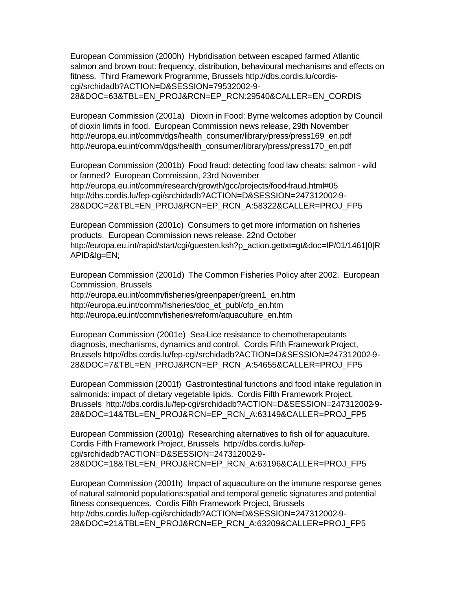European Commission (2000h) Hybridisation between escaped farmed Atlantic salmon and brown trout: frequency, distribution, behavioural mechanisms and effects on fitness. Third Framework Programme, Brussels http://dbs.cordis.lu/cordiscgi/srchidadb?ACTION=D&SESSION=79532002-9- 28&DOC=63&TBL=EN\_PROJ&RCN=EP\_RCN:29540&CALLER=EN\_CORDIS

European Commission (2001a) Dioxin in Food: Byrne welcomes adoption by Council of dioxin limits in food. European Commission news release, 29th November http://europa.eu.int/comm/dgs/health\_consumer/library/press/press169\_en.pdf http://europa.eu.int/comm/dgs/health\_consumer/library/press/press170\_en.pdf

European Commission (2001b) Food fraud: detecting food law cheats: salmon - wild or farmed? European Commission, 23rd November http://europa.eu.int/comm/research/growth/gcc/projects/food-fraud.html#05 http://dbs.cordis.lu/fep-cgi/srchidadb?ACTION=D&SESSION=247312002-9- 28&DOC=2&TBL=EN\_PROJ&RCN=EP\_RCN\_A:58322&CALLER=PROJ\_FP5

European Commission (2001c) Consumers to get more information on fisheries products. European Commission news release, 22nd October http://europa.eu.int/rapid/start/cgi/guesten.ksh?p\_action.gettxt=gt&doc=IP/01/1461|0|R APID&lg=EN;

European Commission (2001d) The Common Fisheries Policy after 2002. European Commission, Brussels

http://europa.eu.int/comm/fisheries/greenpaper/green1\_en.htm http://europa.eu.int/comm/fisheries/doc\_et\_publ/cfp\_en.htm http://europa.eu.int/comm/fisheries/reform/aquaculture\_en.htm

European Commission (2001e) Sea-Lice resistance to chemotherapeutants diagnosis, mechanisms, dynamics and control. Cordis Fifth Framework Project, Brussels http://dbs.cordis.lu/fep-cgi/srchidadb?ACTION=D&SESSION=247312002-9- 28&DOC=7&TBL=EN\_PROJ&RCN=EP\_RCN\_A:54655&CALLER=PROJ\_FP5

European Commission (2001f) Gastrointestinal functions and food intake regulation in salmonids: impact of dietary vegetable lipids. Cordis Fifth Framework Project, Brussels http://dbs.cordis.lu/fep-cgi/srchidadb?ACTION=D&SESSION=247312002-9- 28&DOC=14&TBL=EN\_PROJ&RCN=EP\_RCN\_A:63149&CALLER=PROJ\_FP5

European Commission (2001g) Researching alternatives to fish oil for aquaculture. Cordis Fifth Framework Project, Brussels http://dbs.cordis.lu/fepcgi/srchidadb?ACTION=D&SESSION=247312002-9- 28&DOC=18&TBL=EN\_PROJ&RCN=EP\_RCN\_A:63196&CALLER=PROJ\_FP5

European Commission (2001h) Impact of aquaculture on the immune response genes of natural salmonid populations:spatial and temporal genetic signatures and potential fitness consequences. Cordis Fifth Framework Project, Brussels http://dbs.cordis.lu/fep-cgi/srchidadb?ACTION=D&SESSION=247312002-9- 28&DOC=21&TBL=EN\_PROJ&RCN=EP\_RCN\_A:63209&CALLER=PROJ\_FP5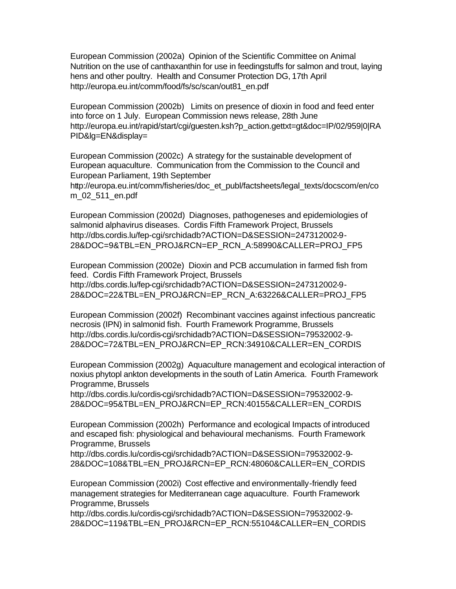European Commission (2002a) Opinion of the Scientific Committee on Animal Nutrition on the use of canthaxanthin for use in feedingstuffs for salmon and trout, laying hens and other poultry. Health and Consumer Protection DG, 17th April http://europa.eu.int/comm/food/fs/sc/scan/out81\_en.pdf

European Commission (2002b) Limits on presence of dioxin in food and feed enter into force on 1 July. European Commission news release, 28th June http://europa.eu.int/rapid/start/cgi/guesten.ksh?p\_action.gettxt=gt&doc=IP/02/959|0|RA PID&lg=EN&display=

European Commission (2002c) A strategy for the sustainable development of European aquaculture. Communication from the Commission to the Council and European Parliament, 19th September http://europa.eu.int/comm/fisheries/doc\_et\_publ/factsheets/legal\_texts/docscom/en/co m\_02\_511\_en.pdf

European Commission (2002d) Diagnoses, pathogeneses and epidemiologies of salmonid alphavirus diseases. Cordis Fifth Framework Project, Brussels http://dbs.cordis.lu/fep-cgi/srchidadb?ACTION=D&SESSION=247312002-9- 28&DOC=9&TBL=EN\_PROJ&RCN=EP\_RCN\_A:58990&CALLER=PROJ\_FP5

European Commission (2002e) Dioxin and PCB accumulation in farmed fish from feed. Cordis Fifth Framework Project, Brussels http://dbs.cordis.lu/fep-cgi/srchidadb?ACTION=D&SESSION=247312002-9- 28&DOC=22&TBL=EN\_PROJ&RCN=EP\_RCN\_A:63226&CALLER=PROJ\_FP5

European Commission (2002f) Recombinant vaccines against infectious pancreatic necrosis (IPN) in salmonid fish. Fourth Framework Programme, Brussels http://dbs.cordis.lu/cordis-cgi/srchidadb?ACTION=D&SESSION=79532002-9- 28&DOC=72&TBL=EN\_PROJ&RCN=EP\_RCN:34910&CALLER=EN\_CORDIS

European Commission (2002g) Aquaculture management and ecological interaction of noxius phytopl ankton developments in the south of Latin America. Fourth Framework Programme, Brussels

http://dbs.cordis.lu/cordis-cgi/srchidadb?ACTION=D&SESSION=79532002-9- 28&DOC=95&TBL=EN\_PROJ&RCN=EP\_RCN:40155&CALLER=EN\_CORDIS

European Commission (2002h) Performance and ecological Impacts of introduced and escaped fish: physiological and behavioural mechanisms. Fourth Framework Programme, Brussels

http://dbs.cordis.lu/cordis-cgi/srchidadb?ACTION=D&SESSION=79532002-9- 28&DOC=108&TBL=EN\_PROJ&RCN=EP\_RCN:48060&CALLER=EN\_CORDIS

European Commission (2002i) Cost effective and environmentally-friendly feed management strategies for Mediterranean cage aquaculture. Fourth Framework Programme, Brussels

http://dbs.cordis.lu/cordis-cgi/srchidadb?ACTION=D&SESSION=79532002-9- 28&DOC=119&TBL=EN\_PROJ&RCN=EP\_RCN:55104&CALLER=EN\_CORDIS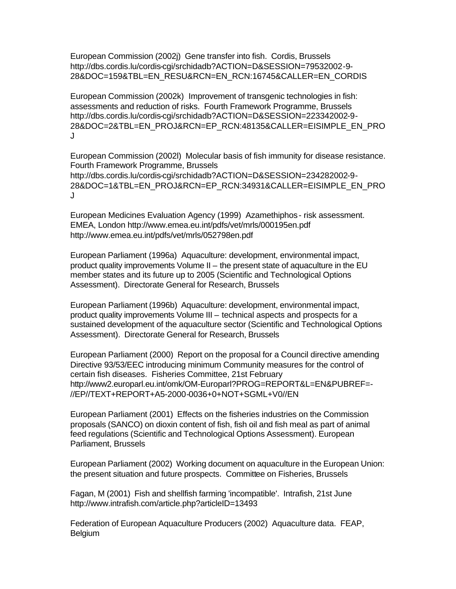European Commission (2002j) Gene transfer into fish. Cordis, Brussels http://dbs.cordis.lu/cordis-cgi/srchidadb?ACTION=D&SESSION=79532002-9- 28&DOC=159&TBL=EN\_RESU&RCN=EN\_RCN:16745&CALLER=EN\_CORDIS

European Commission (2002k) Improvement of transgenic technologies in fish: assessments and reduction of risks. Fourth Framework Programme, Brussels http://dbs.cordis.lu/cordis-cgi/srchidadb?ACTION=D&SESSION=223342002-9- 28&DOC=2&TBL=EN\_PROJ&RCN=EP\_RCN:48135&CALLER=EISIMPLE\_EN\_PRO J

European Commission (2002l) Molecular basis of fish immunity for disease resistance. Fourth Framework Programme, Brussels http://dbs.cordis.lu/cordis-cgi/srchidadb?ACTION=D&SESSION=234282002-9- 28&DOC=1&TBL=EN\_PROJ&RCN=EP\_RCN:34931&CALLER=EISIMPLE\_EN\_PRO J

European Medicines Evaluation Agency (1999) Azamethiphos - risk assessment. EMEA, London http://www.emea.eu.int/pdfs/vet/mrls/000195en.pdf http://www.emea.eu.int/pdfs/vet/mrls/052798en.pdf

European Parliament (1996a) Aquaculture: development, environmental impact, product quality improvements Volume II – the present state of aquaculture in the EU member states and its future up to 2005 (Scientific and Technological Options Assessment). Directorate General for Research, Brussels

European Parliament (1996b) Aquaculture: development, environmental impact, product quality improvements Volume III – technical aspects and prospects for a sustained development of the aquaculture sector (Scientific and Technological Options Assessment). Directorate General for Research, Brussels

European Parliament (2000) Report on the proposal for a Council directive amending Directive 93/53/EEC introducing minimum Community measures for the control of certain fish diseases. Fisheries Committee, 21st February http://www2.europarl.eu.int/omk/OM-Europarl?PROG=REPORT&L=EN&PUBREF=- //EP//TEXT+REPORT+A5-2000-0036+0+NOT+SGML+V0//EN

European Parliament (2001) Effects on the fisheries industries on the Commission proposals (SANCO) on dioxin content of fish, fish oil and fish meal as part of animal feed regulations (Scientific and Technological Options Assessment). European Parliament, Brussels

European Parliament (2002) Working document on aquaculture in the European Union: the present situation and future prospects. Committee on Fisheries, Brussels

Fagan, M (2001) Fish and shellfish farming 'incompatible'. Intrafish, 21st June http://www.intrafish.com/article.php?articleID=13493

Federation of European Aquaculture Producers (2002) Aquaculture data. FEAP, **Belgium**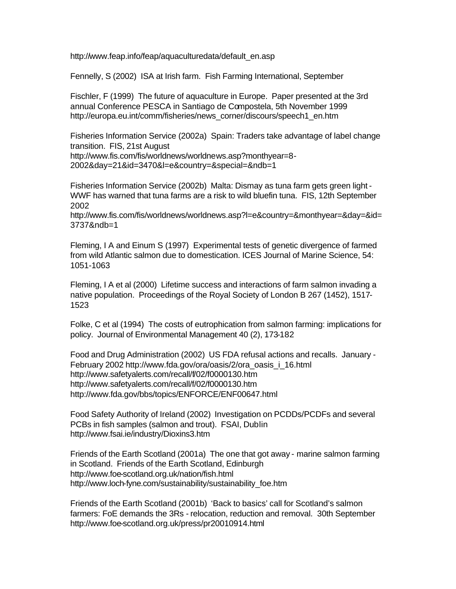http://www.feap.info/feap/aquaculturedata/default\_en.asp

Fennelly, S (2002) ISA at Irish farm. Fish Farming International, September

Fischler, F (1999) The future of aquaculture in Europe. Paper presented at the 3rd annual Conference PESCA in Santiago de Compostela, 5th November 1999 http://europa.eu.int/comm/fisheries/news\_corner/discours/speech1\_en.htm

Fisheries Information Service (2002a) Spain: Traders take advantage of label change transition. FIS, 21st August

http://www.fis.com/fis/worldnews/worldnews.asp?monthyear=8- 2002&day=21&id=3470&l=e&country=&special=&ndb=1

Fisheries Information Service (2002b) Malta: Dismay as tuna farm gets green light - WWF has warned that tuna farms are a risk to wild bluefin tuna. FIS, 12th September 2002

http://www.fis.com/fis/worldnews/worldnews.asp?l=e&country=&monthyear=&day=&id= 3737&ndb=1

Fleming, I A and Einum S (1997) Experimental tests of genetic divergence of farmed from wild Atlantic salmon due to domestication. ICES Journal of Marine Science, 54: 1051-1063

Fleming, I A et al (2000) Lifetime success and interactions of farm salmon invading a native population. Proceedings of the Royal Society of London B 267 (1452), 1517- 1523

Folke, C et al (1994) The costs of eutrophication from salmon farming: implications for policy. Journal of Environmental Management 40 (2), 173-182

Food and Drug Administration (2002) US FDA refusal actions and recalls. January - February 2002 http://www.fda.gov/ora/oasis/2/ora\_oasis\_i\_16.html http://www.safetyalerts.com/recall/f/02/f0000130.htm http://www.safetyalerts.com/recall/f/02/f0000130.htm http://www.fda.gov/bbs/topics/ENFORCE/ENF00647.html

Food Safety Authority of Ireland (2002) Investigation on PCDDs/PCDFs and several PCBs in fish samples (salmon and trout). FSAI, Dublin http://www.fsai.ie/industry/Dioxins3.htm

Friends of the Earth Scotland (2001a) The one that got away - marine salmon farming in Scotland. Friends of the Earth Scotland, Edinburgh http://www.foe-scotland.org.uk/nation/fish.html http://www.loch-fyne.com/sustainability/sustainability\_foe.htm

Friends of the Earth Scotland (2001b) 'Back to basics' call for Scotland's salmon farmers: FoE demands the 3Rs - relocation, reduction and removal. 30th September http://www.foe-scotland.org.uk/press/pr20010914.html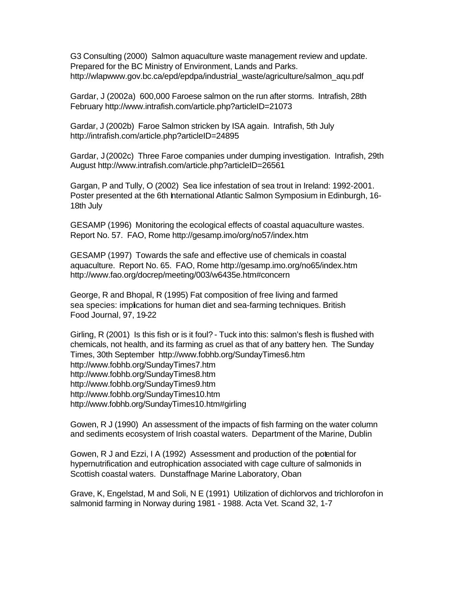G3 Consulting (2000) Salmon aquaculture waste management review and update. Prepared for the BC Ministry of Environment, Lands and Parks. http://wlapwww.gov.bc.ca/epd/epdpa/industrial\_waste/agriculture/salmon\_aqu.pdf

Gardar, J (2002a) 600,000 Faroese salmon on the run after storms. Intrafish, 28th February http://www.intrafish.com/article.php?articleID=21073

Gardar, J (2002b) Faroe Salmon stricken by ISA again. Intrafish, 5th July http://intrafish.com/article.php?articleID=24895

Gardar, J (2002c) Three Faroe companies under dumping investigation. Intrafish, 29th August http://www.intrafish.com/article.php?articleID=26561

Gargan, P and Tully, O (2002) Sea lice infestation of sea trout in Ireland: 1992-2001. Poster presented at the 6th International Atlantic Salmon Symposium in Edinburgh, 16- 18th July

GESAMP (1996) Monitoring the ecological effects of coastal aquaculture wastes. Report No. 57. FAO, Rome http://gesamp.imo/org/no57/index.htm

GESAMP (1997) Towards the safe and effective use of chemicals in coastal aquaculture. Report No. 65. FAO, Rome http://gesamp.imo.org/no65/index.htm http://www.fao.org/docrep/meeting/003/w6435e.htm#concern

George, R and Bhopal, R (1995) Fat composition of free living and farmed sea species: implications for human diet and sea-farming techniques. British Food Journal, 97, 19-22

Girling, R (2001) Is this fish or is it foul? - Tuck into this: salmon's flesh is flushed with chemicals, not health, and its farming as cruel as that of any battery hen. The Sunday Times, 30th September http://www.fobhb.org/SundayTimes6.htm http://www.fobhb.org/SundayTimes7.htm http://www.fobhb.org/SundayTimes8.htm http://www.fobhb.org/SundayTimes9.htm http://www.fobhb.org/SundayTimes10.htm http://www.fobhb.org/SundayTimes10.htm#girling

Gowen, R J (1990) An assessment of the impacts of fish farming on the water column and sediments ecosystem of Irish coastal waters. Department of the Marine, Dublin

Gowen, R J and Ezzi, I A (1992) Assessment and production of the potential for hypernutrification and eutrophication associated with cage culture of salmonids in Scottish coastal waters. Dunstaffnage Marine Laboratory, Oban

Grave, K, Engelstad, M and Soli, N E (1991) Utilization of dichlorvos and trichlorofon in salmonid farming in Norway during 1981 - 1988. Acta Vet. Scand 32, 1-7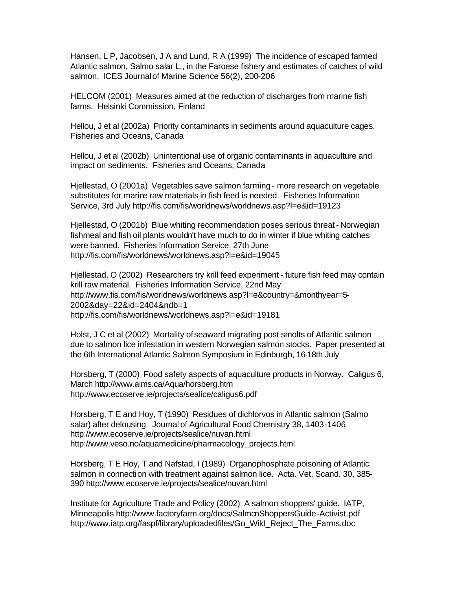Hansen, L P, Jacobsen, J A and Lund, R A (1999) The incidence of escaped farmed Atlantic salmon, Salmo salar L., in the Faroese fishery and estimates of catches of wild salmon. ICES Journal of Marine Science 56(2), 200-206

HELCOM (2001) Measures aimed at the reduction of discharges from marine fish farms. Helsinki Commission, Finland

Hellou, J et al (2002a) Priority contaminants in sediments around aquaculture cages. Fisheries and Oceans, Canada

Hellou, J et al (2002b) Unintentional use of organic contaminants in aquaculture and impact on sediments. Fisheries and Oceans, Canada

Hjellestad, O (2001a) Vegetables save salmon farming - more research on vegetable substitutes for marine raw materials in fish feed is needed. Fisheries Information Service, 3rd July http://fis.com/fis/worldnews/worldnews.asp?l=e&id=19123

Hjellestad, O (2001b) Blue whiting recommendation poses serious threat - Norwegian fishmeal and fish oil plants wouldn't have much to do in winter if blue whiting catches were banned. Fisheries Information Service, 27th June http://fis.com/fis/worldnews/worldnews.asp?l=e&id=19045

Hjellestad, O (2002) Researchers try krill feed experiment - future fish feed may contain krill raw material. Fisheries Information Service, 22nd May http://www.fis.com/fis/worldnews/worldnews.asp?l=e&country=&monthyear=5- 2002&day=22&id=2404&ndb=1 http://fis.com/fis/worldnews/worldnews.asp?l=e&id=19181

Holst, J C et al (2002) Mortality of seaward migrating post smolts of Atlantic salmon due to salmon lice infestation in western Norwegian salmon stocks. Paper presented at the 6th International Atlantic Salmon Symposium in Edinburgh, 16-18th July

Horsberg, T (2000) Food safety aspects of aquaculture products in Norway. Caligus 6, March http://www.aims.ca/Aqua/horsberg.htm http://www.ecoserve.ie/projects/sealice/caligus6.pdf

Horsberg, T E and Hoy, T (1990) Residues of dichlorvos in Atlantic salmon (Salmo salar) after delousing. Journal of Agricultural Food Chemistry 38, 1403-1406 http://www.ecoserve.ie/projects/sealice/nuvan.html http://www.veso.no/aquamedicine/pharmacology\_projects.html

Horsberg, T E Hoy, T and Nafstad, I (1989) Organophosphate poisoning of Atlantic salmon in connection with treatment against salmon lice. Acta. Vet. Scand. 30, 385- 390 http://www.ecoserve.ie/projects/sealice/nuvan.html

Institute for Agriculture Trade and Policy (2002) A salmon shoppers' guide. IATP, Minneapolis http://www.factoryfarm.org/docs/SalmonShoppersGuide-Activist.pdf http://www.iatp.org/faspf/library/uploadedfiles/Go\_Wild\_Reject\_The\_Farms.doc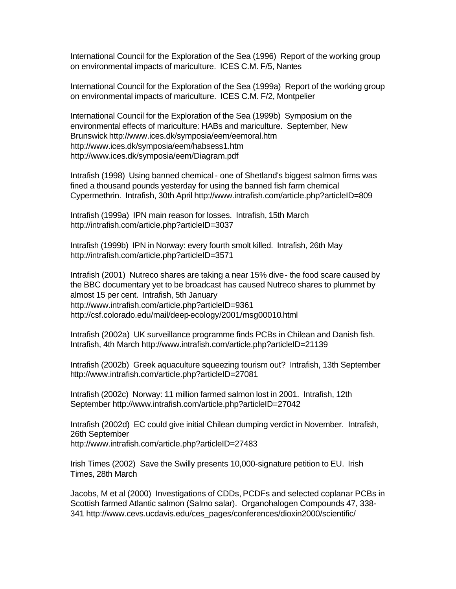International Council for the Exploration of the Sea (1996) Report of the working group on environmental impacts of mariculture. ICES C.M. F/5, Nantes

International Council for the Exploration of the Sea (1999a) Report of the working group on environmental impacts of mariculture. ICES C.M. F/2, Montpelier

International Council for the Exploration of the Sea (1999b) Symposium on the environmental effects of mariculture: HABs and mariculture. September, New Brunswick http://www.ices.dk/symposia/eem/eemoral.htm http://www.ices.dk/symposia/eem/habsess1.htm http://www.ices.dk/symposia/eem/Diagram.pdf

Intrafish (1998) Using banned chemical - one of Shetland's biggest salmon firms was fined a thousand pounds yesterday for using the banned fish farm chemical Cypermethrin. Intrafish, 30th April http://www.intrafish.com/article.php?articleID=809

Intrafish (1999a) IPN main reason for losses. Intrafish, 15th March http://intrafish.com/article.php?articleID=3037

Intrafish (1999b) IPN in Norway: every fourth smolt killed. Intrafish, 26th May http://intrafish.com/article.php?articleID=3571

Intrafish (2001) Nutreco shares are taking a near 15% dive - the food scare caused by the BBC documentary yet to be broadcast has caused Nutreco shares to plummet by almost 15 per cent. Intrafish, 5th January http://www.intrafish.com/article.php?articleID=9361 http://csf.colorado.edu/mail/deep-ecology/2001/msg00010.html

Intrafish (2002a) UK surveillance programme finds PCBs in Chilean and Danish fish. Intrafish, 4th March http://www.intrafish.com/article.php?articleID=21139

Intrafish (2002b) Greek aquaculture squeezing tourism out? Intrafish, 13th September http://www.intrafish.com/article.php?articleID=27081

Intrafish (2002c) Norway: 11 million farmed salmon lost in 2001. Intrafish, 12th September http://www.intrafish.com/article.php?articleID=27042

Intrafish (2002d) EC could give initial Chilean dumping verdict in November. Intrafish, 26th September http://www.intrafish.com/article.php?articleID=27483

Irish Times (2002) Save the Swilly presents 10,000-signature petition to EU. Irish Times, 28th March

Jacobs, M et al (2000) Investigations of CDDs, PCDFs and selected coplanar PCBs in Scottish farmed Atlantic salmon (Salmo salar). Organohalogen Compounds 47, 338- 341 http://www.cevs.ucdavis.edu/ces\_pages/conferences/dioxin2000/scientific/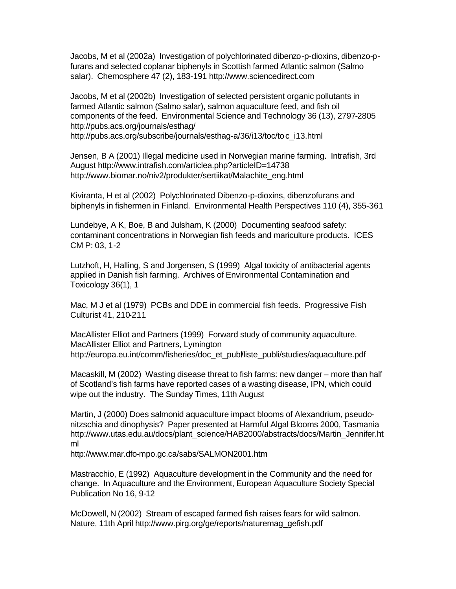Jacobs, M et al (2002a) Investigation of polychlorinated dibenzo-p-dioxins, dibenzo-pfurans and selected coplanar biphenyls in Scottish farmed Atlantic salmon (Salmo salar). Chemosphere 47 (2), 183-191 http://www.sciencedirect.com

Jacobs, M et al (2002b) Investigation of selected persistent organic pollutants in farmed Atlantic salmon (Salmo salar), salmon aquaculture feed, and fish oil components of the feed. Environmental Science and Technology 36 (13), 2797-2805 http://pubs.acs.org/journals/esthag/ http://pubs.acs.org/subscribe/journals/esthag-a/36/i13/toc/toc\_i13.html

Jensen, B A (2001) Illegal medicine used in Norwegian marine farming. Intrafish, 3rd August http://www.intrafish.com/articlea.php?articleID=14738 http://www.biomar.no/niv2/produkter/sertiikat/Malachite\_eng.html

Kiviranta, H et al (2002) Polychlorinated Dibenzo-p-dioxins, dibenzofurans and biphenyls in fishermen in Finland. Environmental Health Perspectives 110 (4), 355-361

Lundebye, A K, Boe, B and Julsham, K (2000) Documenting seafood safety: contaminant concentrations in Norwegian fish feeds and mariculture products. ICES CM P: 03, 1-2

Lutzhoft, H, Halling, S and Jorgensen, S (1999) Algal toxicity of antibacterial agents applied in Danish fish farming. Archives of Environmental Contamination and Toxicology 36(1), 1

Mac, M J et al (1979) PCBs and DDE in commercial fish feeds. Progressive Fish Culturist 41, 210-211

MacAllister Elliot and Partners (1999) Forward study of community aquaculture. MacAllister Elliot and Partners, Lymington http://europa.eu.int/comm/fisheries/doc\_et\_publ/liste\_publi/studies/aquaculture.pdf

Macaskill, M (2002) Wasting disease threat to fish farms: new danger – more than half of Scotland's fish farms have reported cases of a wasting disease, IPN, which could wipe out the industry. The Sunday Times, 11th August

Martin, J (2000) Does salmonid aquaculture impact blooms of Alexandrium, pseudonitzschia and dinophysis? Paper presented at Harmful Algal Blooms 2000, Tasmania http://www.utas.edu.au/docs/plant\_science/HAB2000/abstracts/docs/Martin\_Jennifer.ht ml

http://www.mar.dfo-mpo.gc.ca/sabs/SALMON2001.htm

Mastracchio, E (1992) Aquaculture development in the Community and the need for change. In Aquaculture and the Environment, European Aquaculture Society Special Publication No 16, 9-12

McDowell, N (2002) Stream of escaped farmed fish raises fears for wild salmon. Nature, 11th April http://www.pirg.org/ge/reports/naturemag\_gefish.pdf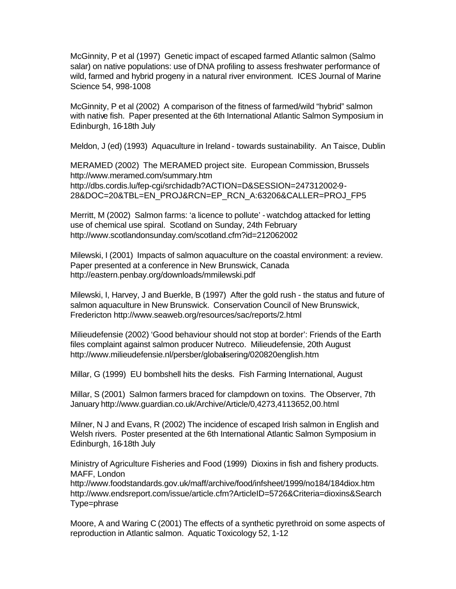McGinnity, P et al (1997) Genetic impact of escaped farmed Atlantic salmon (Salmo salar) on native populations: use of DNA profiling to assess freshwater performance of wild, farmed and hybrid progeny in a natural river environment. ICES Journal of Marine Science 54, 998-1008

McGinnity, P et al (2002) A comparison of the fitness of farmed/wild "hybrid" salmon with native fish. Paper presented at the 6th International Atlantic Salmon Symposium in Edinburgh, 16-18th July

Meldon, J (ed) (1993) Aquaculture in Ireland - towards sustainability. An Taisce, Dublin

MERAMED (2002) The MERAMED project site. European Commission, Brussels http://www.meramed.com/summary.htm http://dbs.cordis.lu/fep-cgi/srchidadb?ACTION=D&SESSION=247312002-9- 28&DOC=20&TBL=EN\_PROJ&RCN=EP\_RCN\_A:63206&CALLER=PROJ\_FP5

Merritt, M (2002) Salmon farms: 'a licence to pollute' - watchdog attacked for letting use of chemical use spiral. Scotland on Sunday, 24th February http://www.scotlandonsunday.com/scotland.cfm?id=212062002

Milewski, I (2001) Impacts of salmon aquaculture on the coastal environment: a review. Paper presented at a conference in New Brunswick, Canada http://eastern.penbay.org/downloads/mmilewski.pdf

Milewski, I, Harvey, J and Buerkle, B (1997) After the gold rush - the status and future of salmon aquaculture in New Brunswick. Conservation Council of New Brunswick, Fredericton http://www.seaweb.org/resources/sac/reports/2.html

Milieudefensie (2002) 'Good behaviour should not stop at border': Friends of the Earth files complaint against salmon producer Nutreco. Milieudefensie, 20th August http://www.milieudefensie.nl/persber/globalisering/020820english.htm

Millar, G (1999) EU bombshell hits the desks. Fish Farming International, August

Millar, S (2001) Salmon farmers braced for clampdown on toxins. The Observer, 7th January http://www.guardian.co.uk/Archive/Article/0,4273,4113652,00.html

Milner, N J and Evans, R (2002) The incidence of escaped Irish salmon in English and Welsh rivers. Poster presented at the 6th International Atlantic Salmon Symposium in Edinburgh, 16-18th July

Ministry of Agriculture Fisheries and Food (1999) Dioxins in fish and fishery products. MAFF, London

http://www.foodstandards.gov.uk/maff/archive/food/infsheet/1999/no184/184diox.htm http://www.endsreport.com/issue/article.cfm?ArticleID=5726&Criteria=dioxins&Search Type=phrase

Moore, A and Waring C (2001) The effects of a synthetic pyrethroid on some aspects of reproduction in Atlantic salmon. Aquatic Toxicology 52, 1-12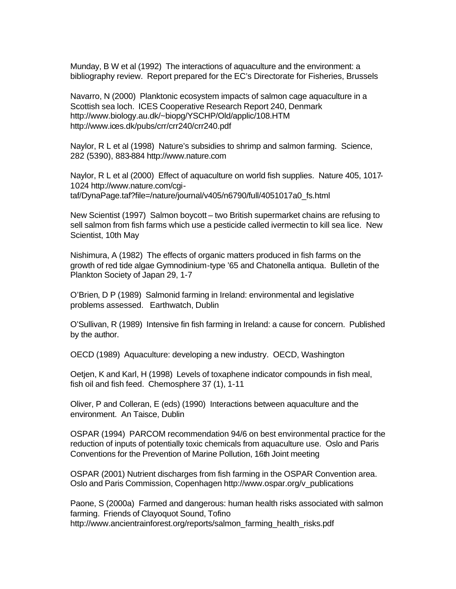Munday, B W et al (1992) The interactions of aquaculture and the environment: a bibliography review. Report prepared for the EC's Directorate for Fisheries, Brussels

Navarro, N (2000) Planktonic ecosystem impacts of salmon cage aquaculture in a Scottish sea loch. ICES Cooperative Research Report 240, Denmark http://www.biology.au.dk/~biopg/YSCHP/Old/applic/108.HTM http://www.ices.dk/pubs/crr/crr240/crr240.pdf

Naylor, R L et al (1998) Nature's subsidies to shrimp and salmon farming. Science, 282 (5390), 883-884 http://www.nature.com

Naylor, R L et al (2000) Effect of aquaculture on world fish supplies. Nature 405, 1017- 1024 http://www.nature.com/cgitaf/DynaPage.taf?file=/nature/journal/v405/n6790/full/4051017a0\_fs.html

New Scientist (1997) Salmon boycott – two British supermarket chains are refusing to sell salmon from fish farms which use a pesticide called ivermectin to kill sea lice. New Scientist, 10th May

Nishimura, A (1982) The effects of organic matters produced in fish farms on the growth of red tide algae Gymnodinium-type '65 and Chatonella antiqua. Bulletin of the Plankton Society of Japan 29, 1-7

O'Brien, D P (1989) Salmonid farming in Ireland: environmental and legislative problems assessed. Earthwatch, Dublin

O'Sullivan, R (1989) Intensive fin fish farming in Ireland: a cause for concern. Published by the author.

OECD (1989) Aquaculture: developing a new industry. OECD, Washington

Oetjen, K and Karl, H (1998) Levels of toxaphene indicator compounds in fish meal, fish oil and fish feed. Chemosphere 37 (1), 1-11

Oliver, P and Colleran, E (eds) (1990) Interactions between aquaculture and the environment. An Taisce, Dublin

OSPAR (1994) PARCOM recommendation 94/6 on best environmental practice for the reduction of inputs of potentially toxic chemicals from aquaculture use. Oslo and Paris Conventions for the Prevention of Marine Pollution, 16th Joint meeting

OSPAR (2001) Nutrient discharges from fish farming in the OSPAR Convention area. Oslo and Paris Commission, Copenhagen http://www.ospar.org/v\_publications

Paone, S (2000a) Farmed and dangerous: human health risks associated with salmon farming. Friends of Clayoquot Sound, Tofino http://www.ancientrainforest.org/reports/salmon\_farming\_health\_risks.pdf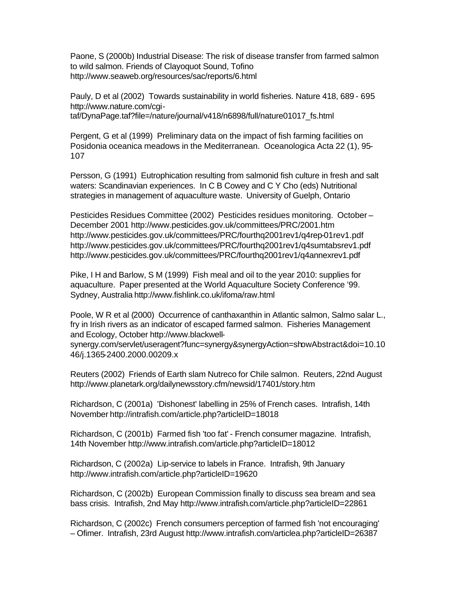Paone, S (2000b) Industrial Disease: The risk of disease transfer from farmed salmon to wild salmon. Friends of Clayoquot Sound, Tofino http://www.seaweb.org/resources/sac/reports/6.html

Pauly, D et al (2002) Towards sustainability in world fisheries. Nature 418, 689 - 695 http://www.nature.com/cgitaf/DynaPage.taf?file=/nature/journal/v418/n6898/full/nature01017\_fs.html

Pergent, G et al (1999) Preliminary data on the impact of fish farming facilities on Posidonia oceanica meadows in the Mediterranean. Oceanologica Acta 22 (1), 95- 107

Persson, G (1991) Eutrophication resulting from salmonid fish culture in fresh and salt waters: Scandinavian experiences. In C B Cowey and C Y Cho (eds) Nutritional strategies in management of aquaculture waste. University of Guelph, Ontario

Pesticides Residues Committee (2002) Pesticides residues monitoring. October – December 2001 http://www.pesticides.gov.uk/committees/PRC/2001.htm http://www.pesticides.gov.uk/committees/PRC/fourthq2001rev1/q4rep-01rev1.pdf http://www.pesticides.gov.uk/committees/PRC/fourthq2001rev1/q4sumtabsrev1.pdf http://www.pesticides.gov.uk/committees/PRC/fourthq2001rev1/q4annexrev1.pdf

Pike, I H and Barlow, S M (1999) Fish meal and oil to the year 2010: supplies for aquaculture. Paper presented at the World Aquaculture Society Conference '99. Sydney, Australia http://www.fishlink.co.uk/ifoma/raw.html

Poole, W R et al (2000) Occurrence of canthaxanthin in Atlantic salmon, Salmo salar L., fry in Irish rivers as an indicator of escaped farmed salmon. Fisheries Management and Ecology, October http://www.blackwell-

synergy.com/servlet/useragent?func=synergy&synergyAction=showAbstract&doi=10.10 46/j.1365-2400.2000.00209.x

Reuters (2002) Friends of Earth slam Nutreco for Chile salmon. Reuters, 22nd August http://www.planetark.org/dailynewsstory.cfm/newsid/17401/story.htm

Richardson, C (2001a) 'Dishonest' labelling in 25% of French cases. Intrafish, 14th November http://intrafish.com/article.php?articleID=18018

Richardson, C (2001b) Farmed fish 'too fat' - French consumer magazine. Intrafish, 14th November http://www.intrafish.com/article.php?articleID=18012

Richardson, C (2002a) Lip-service to labels in France. Intrafish, 9th January http://www.intrafish.com/article.php?articleID=19620

Richardson, C (2002b) European Commission finally to discuss sea bream and sea bass crisis. Intrafish, 2nd May http://www.intrafish.com/article.php?articleID=22861

Richardson, C (2002c) French consumers perception of farmed fish 'not encouraging' – Ofimer. Intrafish, 23rd August http://www.intrafish.com/articlea.php?articleID=26387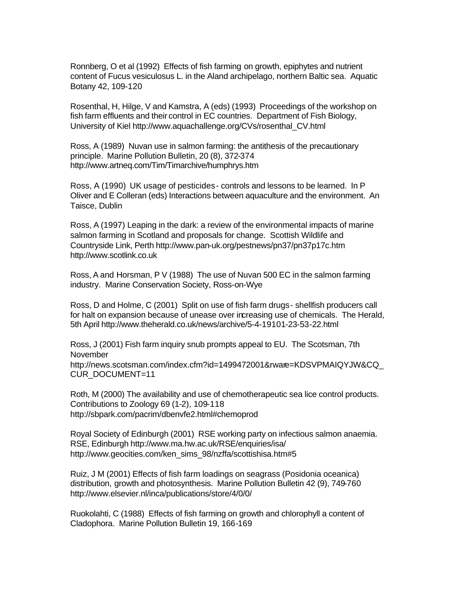Ronnberg, O et al (1992) Effects of fish farming on growth, epiphytes and nutrient content of Fucus vesiculosus L. in the Aland archipelago, northern Baltic sea. Aquatic Botany 42, 109-120

Rosenthal, H, Hilge, V and Kamstra, A (eds) (1993) Proceedings of the workshop on fish farm effluents and their control in EC countries. Department of Fish Biology, University of Kiel http://www.aquachallenge.org/CVs/rosenthal\_CV.html

Ross, A (1989) Nuvan use in salmon farming: the antithesis of the precautionary principle. Marine Pollution Bulletin, 20 (8), 372-374 http://www.artneq.com/Tim/Timarchive/humphrys.htm

Ross, A (1990) UK usage of pesticides - controls and lessons to be learned. In P Oliver and E Colleran (eds) Interactions between aquaculture and the environment. An Taisce, Dublin

Ross, A (1997) Leaping in the dark: a review of the environmental impacts of marine salmon farming in Scotland and proposals for change. Scottish Wildlife and Countryside Link, Perth http://www.pan-uk.org/pestnews/pn37/pn37p17c.htm http://www.scotlink.co.uk

Ross, A and Horsman, P V (1988) The use of Nuvan 500 EC in the salmon farming industry. Marine Conservation Society, Ross-on-Wye

Ross, D and Holme, C (2001) Split on use of fish farm drugs - shellfish producers call for halt on expansion because of unease over increasing use of chemicals. The Herald, 5th April http://www.theherald.co.uk/news/archive/5-4-19101-23-53-22.html

Ross, J (2001) Fish farm inquiry snub prompts appeal to EU. The Scotsman, 7th November http://news.scotsman.com/index.cfm?id=1499472001&rware=KDSVPMAIQYJW&CQ\_ CUR\_DOCUMENT=11

Roth, M (2000) The availability and use of chemotherapeutic sea lice control products. Contributions to Zoology 69 (1-2), 109-118 http://sbpark.com/pacrim/dbenvfe2.html#chemoprod

Royal Society of Edinburgh (2001) RSE working party on infectious salmon anaemia. RSE, Edinburgh http://www.ma.hw.ac.uk/RSE/enquiries/isa/ http://www.geocities.com/ken\_sims\_98/nzffa/scottishisa.htm#5

Ruiz, J M (2001) Effects of fish farm loadings on seagrass (Posidonia oceanica) distribution, growth and photosynthesis. Marine Pollution Bulletin 42 (9), 749-760 http://www.elsevier.nl/inca/publications/store/4/0/0/

Ruokolahti, C (1988) Effects of fish farming on growth and chlorophyll a content of Cladophora. Marine Pollution Bulletin 19, 166-169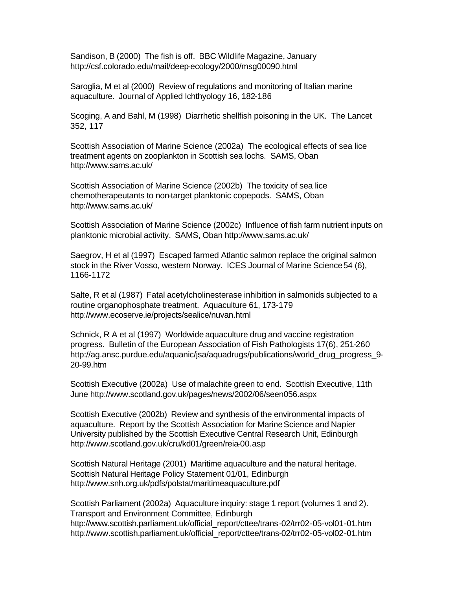Sandison, B (2000) The fish is off. BBC Wildlife Magazine, January http://csf.colorado.edu/mail/deep-ecology/2000/msg00090.html

Saroglia, M et al (2000) Review of regulations and monitoring of Italian marine aquaculture. Journal of Applied Ichthyology 16, 182-186

Scoging, A and Bahl, M (1998) Diarrhetic shellfish poisoning in the UK. The Lancet 352, 117

Scottish Association of Marine Science (2002a) The ecological effects of sea lice treatment agents on zooplankton in Scottish sea lochs. SAMS, Oban http://www.sams.ac.uk/

Scottish Association of Marine Science (2002b) The toxicity of sea lice chemotherapeutants to non-target planktonic copepods. SAMS, Oban http://www.sams.ac.uk/

Scottish Association of Marine Science (2002c) Influence of fish farm nutrient inputs on planktonic microbial activity. SAMS, Oban http://www.sams.ac.uk/

Saegrov, H et al (1997) Escaped farmed Atlantic salmon replace the original salmon stock in the River Vosso, western Norway. ICES Journal of Marine Science 54 (6), 1166-1172

Salte, R et al (1987) Fatal acetylcholinesterase inhibition in salmonids subjected to a routine organophosphate treatment. Aquaculture 61, 173-179 http://www.ecoserve.ie/projects/sealice/nuvan.html

Schnick, R A et al (1997) Worldwide aquaculture drug and vaccine registration progress. Bulletin of the European Association of Fish Pathologists 17(6), 251-260 http://ag.ansc.purdue.edu/aquanic/jsa/aquadrugs/publications/world\_drug\_progress\_9- 20-99.htm

Scottish Executive (2002a) Use of malachite green to end. Scottish Executive, 11th June http://www.scotland.gov.uk/pages/news/2002/06/seen056.aspx

Scottish Executive (2002b) Review and synthesis of the environmental impacts of aquaculture. Report by the Scottish Association for Marine Science and Napier University published by the Scottish Executive Central Research Unit, Edinburgh http://www.scotland.gov.uk/cru/kd01/green/reia-00.asp

Scottish Natural Heritage (2001) Maritime aquaculture and the natural heritage. Scottish Natural Heritage Policy Statement 01/01, Edinburgh http://www.snh.org.uk/pdfs/polstat/maritimeaquaculture.pdf

Scottish Parliament (2002a) Aquaculture inquiry: stage 1 report (volumes 1 and 2). Transport and Environment Committee, Edinburgh http://www.scottish.parliament.uk/official\_report/cttee/trans-02/trr02-05-vol01-01.htm http://www.scottish.parliament.uk/official\_report/cttee/trans-02/trr02-05-vol02-01.htm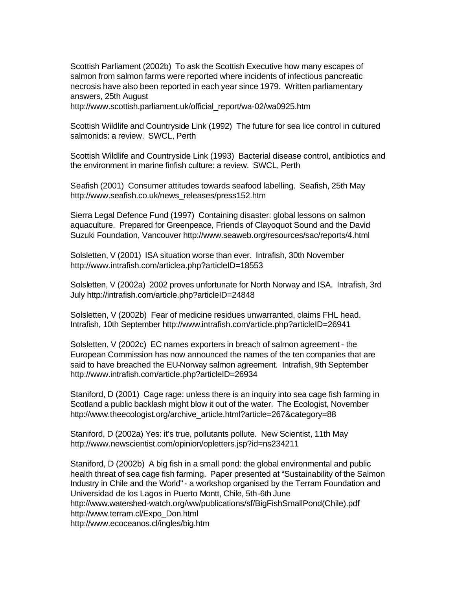Scottish Parliament (2002b) To ask the Scottish Executive how many escapes of salmon from salmon farms were reported where incidents of infectious pancreatic necrosis have also been reported in each year since 1979. Written parliamentary answers, 25th August

http://www.scottish.parliament.uk/official\_report/wa-02/wa0925.htm

Scottish Wildlife and Countryside Link (1992) The future for sea lice control in cultured salmonids: a review. SWCL, Perth

Scottish Wildlife and Countryside Link (1993) Bacterial disease control, antibiotics and the environment in marine finfish culture: a review. SWCL, Perth

Seafish (2001) Consumer attitudes towards seafood labelling. Seafish, 25th May http://www.seafish.co.uk/news\_releases/press152.htm

Sierra Legal Defence Fund (1997) Containing disaster: global lessons on salmon aquaculture. Prepared for Greenpeace, Friends of Clayoquot Sound and the David Suzuki Foundation, Vancouver http://www.seaweb.org/resources/sac/reports/4.html

Solsletten, V (2001) ISA situation worse than ever. Intrafish, 30th November http://www.intrafish.com/articlea.php?articleID=18553

Solsletten, V (2002a) 2002 proves unfortunate for North Norway and ISA. Intrafish, 3rd July http://intrafish.com/article.php?articleID=24848

Solsletten, V (2002b) Fear of medicine residues unwarranted, claims FHL head. Intrafish, 10th September http://www.intrafish.com/article.php?articleID=26941

Solsletten, V (2002c) EC names exporters in breach of salmon agreement - the European Commission has now announced the names of the ten companies that are said to have breached the EU-Norway salmon agreement. Intrafish, 9th September http://www.intrafish.com/article.php?articleID=26934

Staniford, D (2001) Cage rage: unless there is an inquiry into sea cage fish farming in Scotland a public backlash might blow it out of the water. The Ecologist, November http://www.theecologist.org/archive\_article.html?article=267&category=88

Staniford, D (2002a) Yes: it's true, pollutants pollute. New Scientist, 11th May http://www.newscientist.com/opinion/opletters.jsp?id=ns234211

Staniford, D (2002b) A big fish in a small pond: the global environmental and public health threat of sea cage fish farming. Paper presented at "Sustainability of the Salmon Industry in Chile and the World" - a workshop organised by the Terram Foundation and Universidad de los Lagos in Puerto Montt, Chile, 5th-6th June http://www.watershed-watch.org/ww/publications/sf/BigFishSmallPond(Chile).pdf http://www.terram.cl/Expo\_Don.html http://www.ecoceanos.cl/ingles/big.htm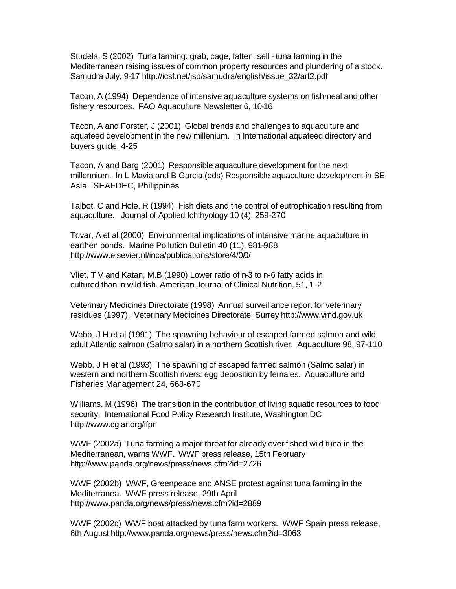Studela, S (2002) Tuna farming: grab, cage, fatten, sell - tuna farming in the Mediterranean raising issues of common property resources and plundering of a stock. Samudra July, 9-17 http://icsf.net/jsp/samudra/english/issue\_32/art2.pdf

Tacon, A (1994) Dependence of intensive aquaculture systems on fishmeal and other fishery resources. FAO Aquaculture Newsletter 6, 10-16

Tacon, A and Forster, J (2001) Global trends and challenges to aquaculture and aquafeed development in the new millenium. In International aquafeed directory and buyers guide, 4-25

Tacon, A and Barg (2001) Responsible aquaculture development for the next millennium. In L Mavia and B Garcia (eds) Responsible aquaculture development in SE Asia. SEAFDEC, Philippines

Talbot, C and Hole, R (1994) Fish diets and the control of eutrophication resulting from aquaculture. Journal of Applied Ichthyology 10 (4), 259-270

Tovar, A et al (2000) Environmental implications of intensive marine aquaculture in earthen ponds. Marine Pollution Bulletin 40 (11), 981-988 http://www.elsevier.nl/inca/publications/store/4/0/0/

Vliet, T V and Katan, M.B (1990) Lower ratio of n-3 to n-6 fatty acids in cultured than in wild fish. American Journal of Clinical Nutrition, 51, 1-2

Veterinary Medicines Directorate (1998) Annual surveillance report for veterinary residues (1997). Veterinary Medicines Directorate, Surrey http://www.vmd.gov.uk

Webb, J H et al (1991) The spawning behaviour of escaped farmed salmon and wild adult Atlantic salmon (Salmo salar) in a northern Scottish river. Aquaculture 98, 97-110

Webb, J H et al (1993) The spawning of escaped farmed salmon (Salmo salar) in western and northern Scottish rivers: egg deposition by females. Aquaculture and Fisheries Management 24, 663-670

Williams, M (1996) The transition in the contribution of living aquatic resources to food security. International Food Policy Research Institute, Washington DC http://www.cgiar.org/ifpri

WWF (2002a) Tuna farming a major threat for already over-fished wild tuna in the Mediterranean, warns WWF. WWF press release, 15th February http://www.panda.org/news/press/news.cfm?id=2726

WWF (2002b) WWF, Greenpeace and ANSE protest against tuna farming in the Mediterranea. WWF press release, 29th April http://www.panda.org/news/press/news.cfm?id=2889

WWF (2002c) WWF boat attacked by tuna farm workers. WWF Spain press release, 6th August http://www.panda.org/news/press/news.cfm?id=3063